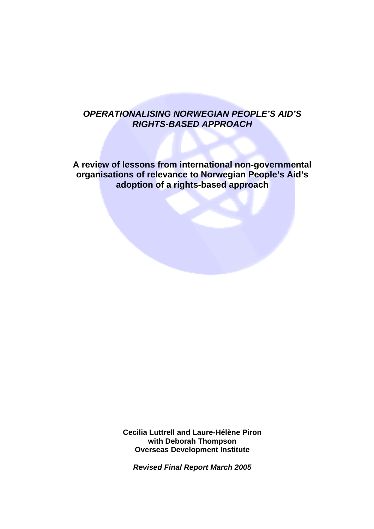# *OPERATIONALISING NORWEGIAN PEOPLE'S AID'S RIGHTS-BASED APPROACH*

**A review of lessons from international non-governmental organisations of relevance to Norwegian People's Aid's adoption of a rights-based approach** 

> **Cecilia Luttrell and Laure-Hélène Piron with Deborah Thompson Overseas Development Institute**

*Revised Final Report March 2005*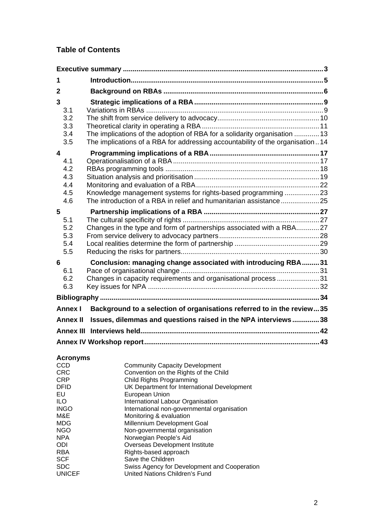# **Table of Contents**

| 1            |                                        |                                                                                                                                                            |  |
|--------------|----------------------------------------|------------------------------------------------------------------------------------------------------------------------------------------------------------|--|
| $\mathbf{2}$ |                                        |                                                                                                                                                            |  |
| 3<br>4       | 3.1<br>3.2<br>3.3<br>3.4<br>3.5        | The implications of the adoption of RBA for a solidarity organisation  13<br>The implications of a RBA for addressing accountability of the organisation14 |  |
|              | 4.1<br>4.2<br>4.3<br>4.4<br>4.5<br>4.6 | Knowledge management systems for rights-based programming 23                                                                                               |  |
| 5            | 5.1<br>5.2<br>5.3<br>5.4<br>5.5        | Changes in the type and form of partnerships associated with a RBA27                                                                                       |  |
| 6            | 6.1<br>6.2<br>6.3                      | Conclusion: managing change associated with introducing RBA31<br>Changes in capacity requirements and organisational process 31                            |  |
|              |                                        |                                                                                                                                                            |  |
|              |                                        |                                                                                                                                                            |  |
|              | Annex I                                | Background to a selection of organisations referred to in the review35                                                                                     |  |
|              | <b>Annex II</b>                        | Issues, dilemmas and questions raised in the NPA interviews 38                                                                                             |  |
|              |                                        |                                                                                                                                                            |  |

| <b>Acronyms</b> |                                              |
|-----------------|----------------------------------------------|
| CCD             | <b>Community Capacity Development</b>        |
| <b>CRC</b>      | Convention on the Rights of the Child        |
| CRP             | <b>Child Rights Programming</b>              |
| DFID            | UK Department for International Development  |
| EU              | European Union                               |
| ILO             | International Labour Organisation            |
| <b>INGO</b>     | International non-governmental organisation  |
| M&E             | Monitoring & evaluation                      |
| <b>MDG</b>      | Millennium Development Goal                  |
| <b>NGO</b>      | Non-governmental organisation                |
| <b>NPA</b>      | Norwegian People's Aid                       |
| ODI             | Overseas Development Institute               |
| <b>RBA</b>      | Rights-based approach                        |
| <b>SCF</b>      | Save the Children                            |
| <b>SDC</b>      | Swiss Agency for Development and Cooperation |
| <b>UNICEF</b>   | United Nations Children's Fund               |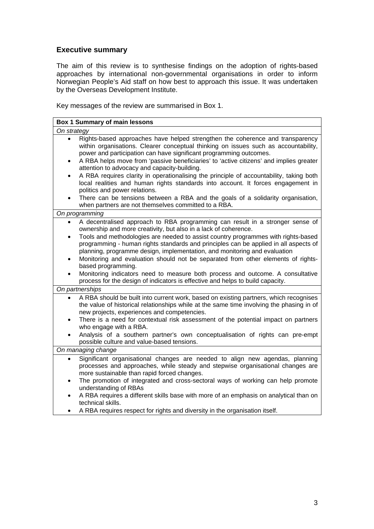# **Executive summary**

The aim of this review is to synthesise findings on the adoption of rights-based approaches by international non-governmental organisations in order to inform Norwegian People's Aid staff on how best to approach this issue. It was undertaken by the Overseas Development Institute.

Key messages of the review are summarised in Box 1.

| On strategy                                                                                                                                                                                                                                                                                                                                                                                                                                                                                                                                                                                                                                                                                                                                                  |  |  |
|--------------------------------------------------------------------------------------------------------------------------------------------------------------------------------------------------------------------------------------------------------------------------------------------------------------------------------------------------------------------------------------------------------------------------------------------------------------------------------------------------------------------------------------------------------------------------------------------------------------------------------------------------------------------------------------------------------------------------------------------------------------|--|--|
| Rights-based approaches have helped strengthen the coherence and transparency<br>within organisations. Clearer conceptual thinking on issues such as accountability,<br>power and participation can have significant programming outcomes.<br>A RBA helps move from 'passive beneficiaries' to 'active citizens' and implies greater<br>attention to advocacy and capacity-building.<br>A RBA requires clarity in operationalising the principle of accountability, taking both<br>$\bullet$<br>local realities and human rights standards into account. It forces engagement in<br>politics and power relations.<br>There can be tensions between a RBA and the goals of a solidarity organisation,<br>when partners are not themselves committed to a RBA. |  |  |
| On programming                                                                                                                                                                                                                                                                                                                                                                                                                                                                                                                                                                                                                                                                                                                                               |  |  |
| A decentralised approach to RBA programming can result in a stronger sense of<br>$\bullet$<br>ownership and more creativity, but also in a lack of coherence.<br>Tools and methodologies are needed to assist country programmes with rights-based<br>$\bullet$<br>programming - human rights standards and principles can be applied in all aspects of<br>planning, programme design, implementation, and monitoring and evaluation<br>Monitoring and evaluation should not be separated from other elements of rights-<br>based programming.<br>Monitoring indicators need to measure both process and outcome. A consultative<br>$\bullet$<br>process for the design of indicators is effective and helps to build capacity.                              |  |  |
| On partnerships                                                                                                                                                                                                                                                                                                                                                                                                                                                                                                                                                                                                                                                                                                                                              |  |  |
| A RBA should be built into current work, based on existing partners, which recognises<br>the value of historical relationships while at the same time involving the phasing in of<br>new projects, experiences and competencies.<br>There is a need for contextual risk assessment of the potential impact on partners<br>who engage with a RBA.<br>Analysis of a southern partner's own conceptualisation of rights can pre-empt<br>possible culture and value-based tensions.                                                                                                                                                                                                                                                                              |  |  |
| On managing change                                                                                                                                                                                                                                                                                                                                                                                                                                                                                                                                                                                                                                                                                                                                           |  |  |
| Significant organisational changes are needed to align new agendas, planning<br>processes and approaches, while steady and stepwise organisational changes are<br>more sustainable than rapid forced changes.<br>The promotion of integrated and cross-sectoral ways of working can help promote<br>٠<br>understanding of RBAs<br>A RBA requires a different skills base with more of an emphasis on analytical than on<br>$\bullet$<br>technical skills.<br>A RBA requires respect for rights and diversity in the organisation itself.                                                                                                                                                                                                                     |  |  |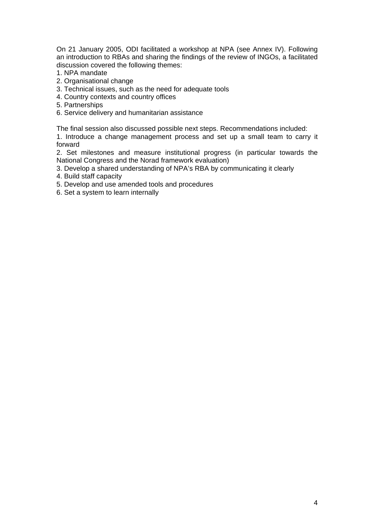On 21 January 2005, ODI facilitated a workshop at NPA (see Annex IV). Following an introduction to RBAs and sharing the findings of the review of INGOs, a facilitated discussion covered the following themes:

- 1. NPA mandate
- 2. Organisational change
- 3. Technical issues, such as the need for adequate tools
- 4. Country contexts and country offices
- 5. Partnerships
- 6. Service delivery and humanitarian assistance

The final session also discussed possible next steps. Recommendations included:

1. Introduce a change management process and set up a small team to carry it forward

2. Set milestones and measure institutional progress (in particular towards the National Congress and the Norad framework evaluation)

3. Develop a shared understanding of NPA's RBA by communicating it clearly

- 4. Build staff capacity
- 5. Develop and use amended tools and procedures
- 6. Set a system to learn internally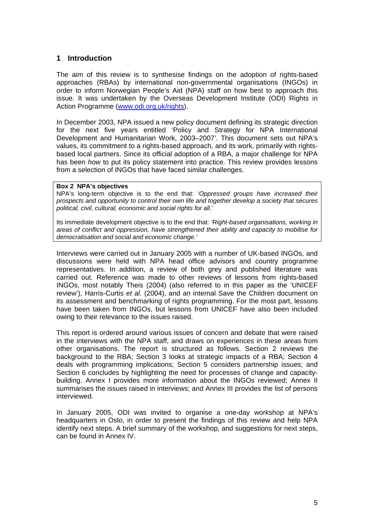# **1 Introduction**

The aim of this review is to synthesise findings on the adoption of rights-based approaches (RBAs) by international non-governmental organisations (INGOs) in order to inform Norwegian People's Aid (NPA) staff on how best to approach this issue. It was undertaken by the Overseas Development Institute (ODI) Rights in Action Programme (www.odi.org.uk/rights).

In December 2003, NPA issued a new policy document defining its strategic direction for the next five years entitled 'Policy and Strategy for NPA International Development and Humanitarian Work, 2003–2007'. This document sets out NPA's values, its commitment to a rights-based approach, and its work, primarily with rightsbased local partners. Since its official adoption of a RBA, a major challenge for NPA has been *how* to put its policy statement into practice. This review provides lessons from a selection of INGOs that have faced similar challenges.

## **Box 2 NPA's objectives**

NPA's long-term objective is to the end that: *'Oppressed groups have increased their prospects and opportunity to control their own life and together develop a society that secures political, civil, cultural, economic and social rights for all.'* 

Its immediate development objective is to the end that: *'Right-based organisations, working in areas of conflict and oppression, have strengthened their ability and capacity to mobilise for democratisation and social and economic change.'* 

Interviews were carried out in January 2005 with a number of UK-based INGOs, and discussions were held with NPA head office advisors and country programme representatives. In addition, a review of both grey and published literature was carried out. Reference was made to other reviews of lessons from rights-based INGOs, most notably Theis (2004) (also referred to in this paper as the 'UNICEF review'), Harris-Curtis *et al.* (2004), and an internal Save the Children document on its assessment and benchmarking of rights programming. For the most part, lessons have been taken from INGOs, but lessons from UNICEF have also been included owing to their relevance to the issues raised.

This report is ordered around various issues of concern and debate that were raised in the interviews with the NPA staff, and draws on experiences in these areas from other organisations. The report is structured as follows. Section 2 reviews the background to the RBA; Section 3 looks at strategic impacts of a RBA; Section 4 deals with programming implications; Section 5 considers partnership issues; and Section 6 concludes by highlighting the need for processes of change and capacitybuilding. Annex I provides more information about the INGOs reviewed; Annex II summarises the issues raised in interviews; and Annex III provides the list of persons interviewed.

In January 2005, ODI was invited to organise a one-day workshop at NPA's headquarters in Oslo, in order to present the findings of this review and help NPA identify next steps. A brief summary of the workshop, and suggestions for next steps, can be found in Annex IV.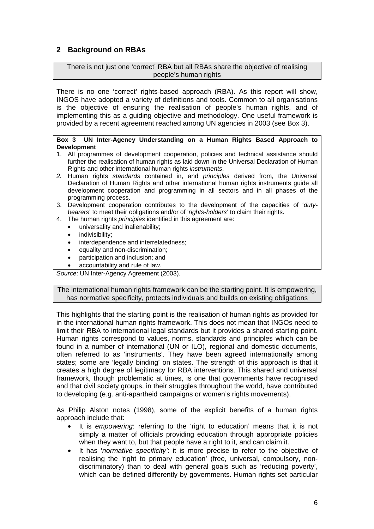# **2 Background on RBAs**

There is not just one 'correct' RBA but all RBAs share the objective of realising people's human rights

There is no one 'correct' rights-based approach (RBA). As this report will show, INGOS have adopted a variety of definitions and tools. Common to all organisations is the objective of ensuring the realisation of people's human rights, and of implementing this as a guiding objective and methodology. One useful framework is provided by a recent agreement reached among UN agencies in 2003 (see Box 3).

## **Box 3 UN Inter-Agency Understanding on a Human Rights Based Approach to Development**

- 1. All programmes of development cooperation, policies and technical assistance should further the realisation of human rights as laid down in the Universal Declaration of Human Rights and other international human rights *instruments*.
- *2.* Human rights *standards* contained in, and *principles* derived from, the Universal Declaration of Human Rights and other international human rights instruments guide all development cooperation and programming in all sectors and in all phases of the programming process.
- 3. Development cooperation contributes to the development of the capacities of '*dutybearers*' to meet their obligations and/or of '*rights-holders*' to claim their rights.
- 4. The human rights *principles* identified in this agreement are:
	- universality and inalienability;
		- indivisibility:
		- interdependence and interrelatedness;
		- equality and non-discrimination;
		- participation and inclusion; and
		- accountability and rule of law.

*Source*: UN Inter-Agency Agreement (2003).

The international human rights framework can be the starting point. It is empowering, has normative specificity, protects individuals and builds on existing obligations

This highlights that the starting point is the realisation of human rights as provided for in the international human rights framework. This does not mean that INGOs need to limit their RBA to international legal standards but it provides a shared starting point. Human rights correspond to values, norms, standards and principles which can be found in a number of international (UN or ILO), regional and domestic documents, often referred to as 'instruments'. They have been agreed internationally among states; some are 'legally binding' on states. The strength of this approach is that it creates a high degree of legitimacy for RBA interventions. This shared and universal framework, though problematic at times, is one that governments have recognised and that civil society groups, in their struggles throughout the world, have contributed to developing (e.g. anti-apartheid campaigns or women's rights movements).

As Philip Alston notes (1998), some of the explicit benefits of a human rights approach include that:

- It is *empowering*: referring to the 'right to education' means that it is not simply a matter of officials providing education through appropriate policies when they want to, but that people have a right to it, and can claim it.
- It has '*normative specificity'*: it is more precise to refer to the objective of realising the 'right to primary education' (free, universal, compulsory, nondiscriminatory) than to deal with general goals such as 'reducing poverty', which can be defined differently by governments. Human rights set particular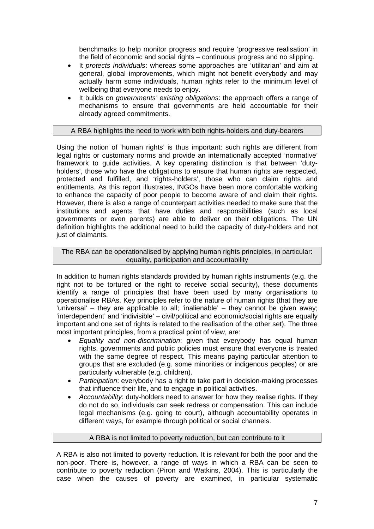benchmarks to help monitor progress and require 'progressive realisation' in the field of economic and social rights – continuous progress and no slipping.

- It *protects individuals*: whereas some approaches are 'utilitarian' and aim at general, global improvements, which might not benefit everybody and may actually harm some individuals, human rights refer to the minimum level of wellbeing that everyone needs to enjoy.
- It builds on *governments' existing obligations*: the approach offers a range of mechanisms to ensure that governments are held accountable for their already agreed commitments.

# A RBA highlights the need to work with both rights-holders and duty-bearers

Using the notion of 'human rights' is thus important: such rights are different from legal rights or customary norms and provide an internationally accepted 'normative' framework to guide activities. A key operating distinction is that between 'dutyholders', those who have the obligations to ensure that human rights are respected, protected and fulfilled, and 'rights-holders', those who can claim rights and entitlements. As this report illustrates, INGOs have been more comfortable working to enhance the capacity of poor people to become aware of and claim their rights. However, there is also a range of counterpart activities needed to make sure that the institutions and agents that have duties and responsibilities (such as local governments or even parents) are able to deliver on their obligations. The UN definition highlights the additional need to build the capacity of duty-holders and not just of claimants.

The RBA can be operationalised by applying human rights principles, in particular: equality, participation and accountability

In addition to human rights standards provided by human rights instruments (e.g. the right not to be tortured or the right to receive social security), these documents identify a range of principles that have been used by many organisations to operationalise RBAs. Key principles refer to the nature of human rights (that they are 'universal' – they are applicable to all; 'inalienable' – they cannot be given away; 'interdependent' and 'indivisible' – civil/political and economic/social rights are equally important and one set of rights is related to the realisation of the other set). The three most important principles, from a practical point of view, are:

- *Equality and non-discrimination*: given that everybody has equal human rights, governments and public policies must ensure that everyone is treated with the same degree of respect. This means paying particular attention to groups that are excluded (e.g. some minorities or indigenous peoples) or are particularly vulnerable (e.g. children).
- *Participation*: everybody has a right to take part in decision-making processes that influence their life, and to engage in political activities.
- *Accountability*: duty-holders need to answer for how they realise rights. If they do not do so, individuals can seek redress or compensation. This can include legal mechanisms (e.g. going to court), although accountability operates in different ways, for example through political or social channels.

## A RBA is not limited to poverty reduction, but can contribute to it

A RBA is also not limited to poverty reduction. It is relevant for both the poor and the non-poor. There is, however, a range of ways in which a RBA can be seen to contribute to poverty reduction (Piron and Watkins, 2004). This is particularly the case when the causes of poverty are examined, in particular systematic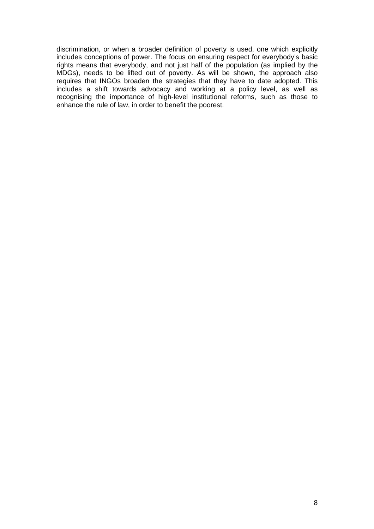discrimination, or when a broader definition of poverty is used, one which explicitly includes conceptions of power. The focus on ensuring respect for everybody's basic rights means that everybody, and not just half of the population (as implied by the MDGs), needs to be lifted out of poverty. As will be shown, the approach also requires that INGOs broaden the strategies that they have to date adopted. This includes a shift towards advocacy and working at a policy level, as well as recognising the importance of high-level institutional reforms, such as those to enhance the rule of law, in order to benefit the poorest.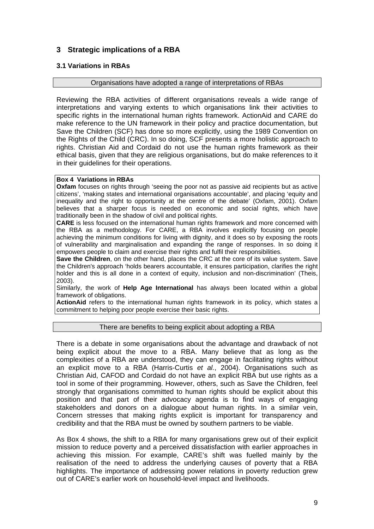# **3 Strategic implications of a RBA**

# **3.1 Variations in RBAs**

## Organisations have adopted a range of interpretations of RBAs

Reviewing the RBA activities of different organisations reveals a wide range of interpretations and varying extents to which organisations link their activities to specific rights in the international human rights framework. ActionAid and CARE do make reference to the UN framework in their policy and practice documentation, but Save the Children (SCF) has done so more explicitly, using the 1989 Convention on the Rights of the Child (CRC). In so doing, SCF presents a more holistic approach to rights. Christian Aid and Cordaid do not use the human rights framework as their ethical basis, given that they are religious organisations, but do make references to it in their guidelines for their operations.

## **Box 4 Variations in RBAs**

**Oxfam** focuses on rights through 'seeing the poor not as passive aid recipients but as active citizens', 'making states and international organisations accountable', and placing 'equity and inequality and the right to opportunity at the centre of the debate' (Oxfam, 2001). Oxfam believes that a sharper focus is needed on economic and social rights, which have traditionally been in the shadow of civil and political rights.

**CARE** is less focused on the international human rights framework and more concerned with the RBA as a methodology. For CARE, a RBA involves explicitly focusing on people achieving the minimum conditions for living with dignity, and it does so by exposing the roots of vulnerability and marginalisation and expanding the range of responses. In so doing it empowers people to claim and exercise their rights and fulfil their responsibilities.

**Save the Children**, on the other hand, places the CRC at the core of its value system. Save the Children's approach 'holds bearers accountable, it ensures participation, clarifies the right holder and this is all done in a context of equity, inclusion and non-discrimination' (Theis, 2003).

Similarly, the work of **Help Age International** has always been located within a global framework of obligations.

**ActionAid** refers to the international human rights framework in its policy, which states a commitment to helping poor people exercise their basic rights.

## There are benefits to being explicit about adopting a RBA

There is a debate in some organisations about the advantage and drawback of not being explicit about the move to a RBA. Many believe that as long as the complexities of a RBA are understood, they can engage in facilitating rights without an explicit move to a RBA (Harris-Curtis *et al.*, 2004). Organisations such as Christian Aid, CAFOD and Cordaid do not have an explicit RBA but use rights as a tool in some of their programming. However, others, such as Save the Children, feel strongly that organisations committed to human rights should be explicit about this position and that part of their advocacy agenda is to find ways of engaging stakeholders and donors on a dialogue about human rights. In a similar vein, Concern stresses that making rights explicit is important for transparency and credibility and that the RBA must be owned by southern partners to be viable.

As Box 4 shows, the shift to a RBA for many organisations grew out of their explicit mission to reduce poverty and a perceived dissatisfaction with earlier approaches in achieving this mission. For example, CARE's shift was fuelled mainly by the realisation of the need to address the underlying causes of poverty that a RBA highlights. The importance of addressing power relations in poverty reduction grew out of CARE's earlier work on household-level impact and livelihoods.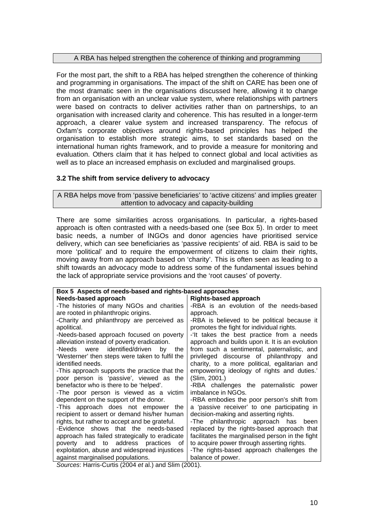# A RBA has helped strengthen the coherence of thinking and programming

For the most part, the shift to a RBA has helped strengthen the coherence of thinking and programming in organisations. The impact of the shift on CARE has been one of the most dramatic seen in the organisations discussed here, allowing it to change from an organisation with an unclear value system, where relationships with partners were based on contracts to deliver activities rather than on partnerships, to an organisation with increased clarity and coherence. This has resulted in a longer-term approach, a clearer value system and increased transparency. The refocus of Oxfam's corporate objectives around rights-based principles has helped the organisation to establish more strategic aims, to set standards based on the international human rights framework, and to provide a measure for monitoring and evaluation. Others claim that it has helped to connect global and local activities as well as to place an increased emphasis on excluded and marginalised groups.

# **3.2 The shift from service delivery to advocacy**

A RBA helps move from 'passive beneficiaries' to 'active citizens' and implies greater attention to advocacy and capacity-building

There are some similarities across organisations. In particular, a rights-based approach is often contrasted with a needs-based one (see Box 5). In order to meet basic needs, a number of INGOs and donor agencies have prioritised service delivery, which can see beneficiaries as 'passive recipients' of aid. RBA is said to be more 'political' and to require the empowerment of citizens to claim their rights, moving away from an approach based on 'charity'. This is often seen as leading to a shift towards an advocacy mode to address some of the fundamental issues behind the lack of appropriate service provisions and the 'root causes' of poverty.

| Box 5 Aspects of needs-based and rights-based approaches                                 |                                                  |  |
|------------------------------------------------------------------------------------------|--------------------------------------------------|--|
| Needs-based approach                                                                     | <b>Rights-based approach</b>                     |  |
| -The histories of many NGOs and charities                                                | -RBA is an evolution of the needs-based          |  |
| are rooted in philanthropic origins.                                                     | approach.                                        |  |
| -Charity and philanthropy are perceived as                                               | -RBA is believed to be political because it      |  |
| apolitical.                                                                              | promotes the fight for individual rights.        |  |
| -Needs-based approach focused on poverty                                                 | -'It takes the best practice from a needs        |  |
| alleviation instead of poverty eradication.                                              | approach and builds upon it. It is an evolution  |  |
| -Needs were identified/driven<br>by<br>the                                               | from such a sentimental, paternalistic, and      |  |
| 'Westerner' then steps were taken to fulfil the                                          | privileged discourse of philanthropy and         |  |
| identified needs.                                                                        | charity, to a more political, egalitarian and    |  |
| -This approach supports the practice that the                                            | empowering ideology of rights and duties.'       |  |
| poor person is 'passive', viewed as the                                                  | (Slim, 2001.)                                    |  |
| benefactor who is there to be 'helped'.                                                  | -RBA challenges the paternalistic power          |  |
| -The poor person is viewed as a victim                                                   | imbalance in NGOs.                               |  |
| dependent on the support of the donor.                                                   | -RBA embodies the poor person's shift from       |  |
| -This approach does not empower the                                                      | a 'passive receiver' to one participating in     |  |
| recipient to assert or demand his/her human                                              | decision-making and asserting rights.            |  |
| rights, but rather to accept and be grateful.                                            | -The philanthropic approach has been             |  |
| -Evidence shows that the needs-based                                                     | replaced by the rights-based approach that       |  |
| approach has failed strategically to eradicate                                           | facilitates the marginalised person in the fight |  |
| poverty and to address practices<br>of.                                                  | to acquire power through asserting rights.       |  |
| exploitation, abuse and widespread injustices                                            | -The rights-based approach challenges the        |  |
| against marginalised populations.<br>Courago: Horrig Curtis (2004 at al) and Clim (2004) | balance of power.                                |  |

*Sources*: Harris-Curtis (2004 *et* al.) and Slim (2001).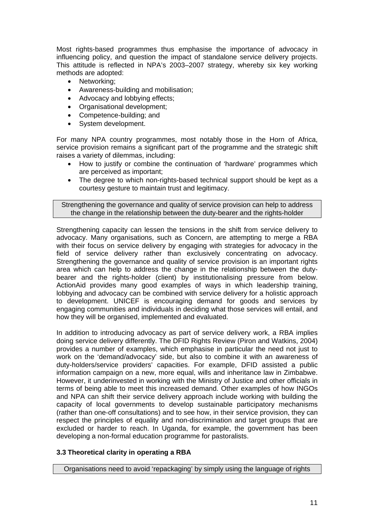Most rights-based programmes thus emphasise the importance of advocacy in influencing policy, and question the impact of standalone service delivery projects. This attitude is reflected in NPA's 2003–2007 strategy, whereby six key working methods are adopted:

- Networking;
- Awareness-building and mobilisation;
- Advocacy and lobbying effects;
- Organisational development;
- Competence-building; and
- System development.

For many NPA country programmes, most notably those in the Horn of Africa, service provision remains a significant part of the programme and the strategic shift raises a variety of dilemmas, including:

- How to justify or combine the continuation of 'hardware' programmes which are perceived as important;
- The degree to which non-rights-based technical support should be kept as a courtesy gesture to maintain trust and legitimacy.

Strengthening the governance and quality of service provision can help to address the change in the relationship between the duty-bearer and the rights-holder

Strengthening capacity can lessen the tensions in the shift from service delivery to advocacy. Many organisations, such as Concern, are attempting to merge a RBA with their focus on service delivery by engaging with strategies for advocacy in the field of service delivery rather than exclusively concentrating on advocacy. Strengthening the governance and quality of service provision is an important rights area which can help to address the change in the relationship between the dutybearer and the rights-holder (client) by institutionalising pressure from below. ActionAid provides many good examples of ways in which leadership training, lobbying and advocacy can be combined with service delivery for a holistic approach to development. UNICEF is encouraging demand for goods and services by engaging communities and individuals in deciding what those services will entail, and how they will be organised, implemented and evaluated.

In addition to introducing advocacy as part of service delivery work, a RBA implies doing service delivery differently. The DFID Rights Review (Piron and Watkins, 2004) provides a number of examples, which emphasise in particular the need not just to work on the 'demand/advocacy' side, but also to combine it with an awareness of duty-holders/service providers' capacities. For example, DFID assisted a public information campaign on a new, more equal, wills and inheritance law in Zimbabwe. However, it underinvested in working with the Ministry of Justice and other officials in terms of being able to meet this increased demand. Other examples of how INGOs and NPA can shift their service delivery approach include working with building the capacity of local governments to develop sustainable participatory mechanisms (rather than one-off consultations) and to see how, in their service provision, they can respect the principles of equality and non-discrimination and target groups that are excluded or harder to reach. In Uganda, for example, the government has been developing a non-formal education programme for pastoralists.

# **3.3 Theoretical clarity in operating a RBA**

Organisations need to avoid 'repackaging' by simply using the language of rights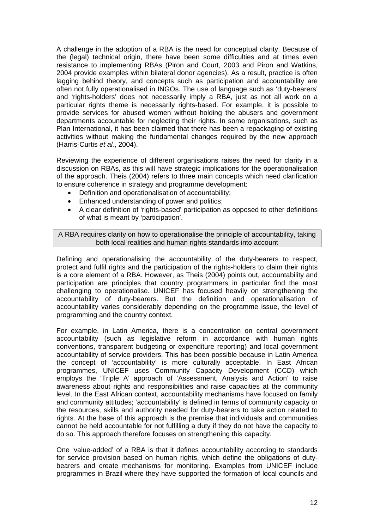A challenge in the adoption of a RBA is the need for conceptual clarity. Because of the (legal) technical origin, there have been some difficulties and at times even resistance to implementing RBAs (Piron and Court, 2003 and Piron and Watkins, 2004 provide examples within bilateral donor agencies). As a result, practice is often lagging behind theory, and concepts such as participation and accountability are often not fully operationalised in INGOs. The use of language such as 'duty-bearers' and 'rights-holders' does not necessarily imply a RBA, just as not all work on a particular rights theme is necessarily rights-based. For example, it is possible to provide services for abused women without holding the abusers and government departments accountable for neglecting their rights. In some organisations, such as Plan International, it has been claimed that there has been a repackaging of existing activities without making the fundamental changes required by the new approach (Harris-Curtis *et al.*, 2004).

Reviewing the experience of different organisations raises the need for clarity in a discussion on RBAs, as this will have strategic implications for the operationalisation of the approach. Theis (2004) refers to three main concepts which need clarification to ensure coherence in strategy and programme development:

- Definition and operationalisation of accountability;
- Enhanced understanding of power and politics;
- A clear definition of 'rights-based' participation as opposed to other definitions of what is meant by 'participation'.

A RBA requires clarity on how to operationalise the principle of accountability, taking both local realities and human rights standards into account

Defining and operationalising the accountability of the duty-bearers to respect, protect and fulfil rights and the participation of the rights-holders to claim their rights is a core element of a RBA. However, as Theis (2004) points out, accountability and participation are principles that country programmers in particular find the most challenging to operationalise. UNICEF has focused heavily on strengthening the accountability of duty-bearers. But the definition and operationalisation of accountability varies considerably depending on the programme issue, the level of programming and the country context.

For example, in Latin America, there is a concentration on central government accountability (such as legislative reform in accordance with human rights conventions, transparent budgeting or expenditure reporting) and local government accountability of service providers. This has been possible because in Latin America the concept of 'accountability' is more culturally acceptable. In East African programmes, UNICEF uses Community Capacity Development (CCD) which employs the 'Triple A' approach of 'Assessment, Analysis and Action' to raise awareness about rights and responsibilities and raise capacities at the community level. In the East African context, accountability mechanisms have focused on family and community attitudes; 'accountability' is defined in terms of community capacity or the resources, skills and authority needed for duty-bearers to take action related to rights. At the base of this approach is the premise that individuals and communities cannot be held accountable for not fulfilling a duty if they do not have the capacity to do so. This approach therefore focuses on strengthening this capacity.

One 'value-added' of a RBA is that it defines accountability according to standards for service provision based on human rights, which define the obligations of dutybearers and create mechanisms for monitoring. Examples from UNICEF include programmes in Brazil where they have supported the formation of local councils and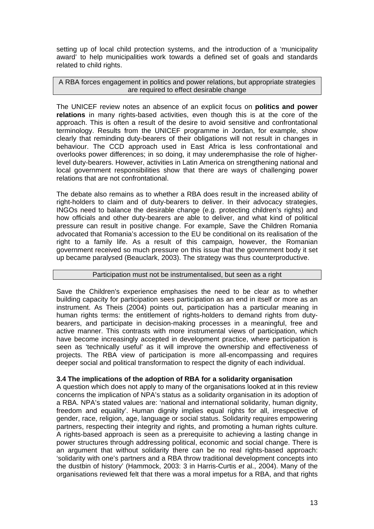setting up of local child protection systems, and the introduction of a 'municipality award' to help municipalities work towards a defined set of goals and standards related to child rights.

A RBA forces engagement in politics and power relations, but appropriate strategies are required to effect desirable change

The UNICEF review notes an absence of an explicit focus on **politics and power relations** in many rights-based activities, even though this is at the core of the approach. This is often a result of the desire to avoid sensitive and confrontational terminology. Results from the UNICEF programme in Jordan, for example, show clearly that reminding duty-bearers of their obligations will not result in changes in behaviour. The CCD approach used in East Africa is less confrontational and overlooks power differences; in so doing, it may underemphasise the role of higherlevel duty-bearers. However, activities in Latin America on strengthening national and local government responsibilities show that there are ways of challenging power relations that are not confrontational.

The debate also remains as to whether a RBA does result in the increased ability of right-holders to claim and of duty-bearers to deliver. In their advocacy strategies, INGOs need to balance the desirable change (e.g. protecting children's rights) and how officials and other duty-bearers are able to deliver, and what kind of political pressure can result in positive change. For example, Save the Children Romania advocated that Romania's accession to the EU be conditional on its realisation of the right to a family life. As a result of this campaign, however, the Romanian government received so much pressure on this issue that the government body it set up became paralysed (Beauclark, 2003). The strategy was thus counterproductive.

# Participation must not be instrumentalised, but seen as a right

Save the Children's experience emphasises the need to be clear as to whether building capacity for participation sees participation as an end in itself or more as an instrument. As Theis (2004) points out, participation has a particular meaning in human rights terms: the entitlement of rights-holders to demand rights from dutybearers, and participate in decision-making processes in a meaningful, free and active manner. This contrasts with more instrumental views of participation, which have become increasingly accepted in development practice, where participation is seen as 'technically useful' as it will improve the ownership and effectiveness of projects. The RBA view of participation is more all-encompassing and requires deeper social and political transformation to respect the dignity of each individual.

# **3.4 The implications of the adoption of RBA for a solidarity organisation**

A question which does not apply to many of the organisations looked at in this review concerns the implication of NPA's status as a solidarity organisation in its adoption of a RBA. NPA's stated values are: 'national and international solidarity, human dignity, freedom and equality'. Human dignity implies equal rights for all, irrespective of gender, race, religion, age, language or social status. Solidarity requires empowering partners, respecting their integrity and rights, and promoting a human rights culture. A rights-based approach is seen as a prerequisite to achieving a lasting change in power structures through addressing political, economic and social change. There is an argument that without solidarity there can be no real rights-based approach: 'solidarity with one's partners and a RBA throw traditional development concepts into the dustbin of history' (Hammock, 2003: 3 in Harris-Curtis *et* al., 2004). Many of the organisations reviewed felt that there was a moral impetus for a RBA, and that rights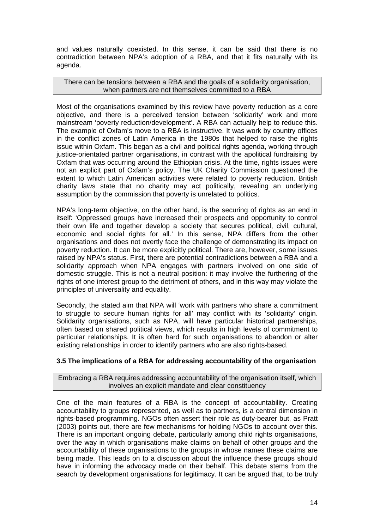and values naturally coexisted. In this sense, it can be said that there is no contradiction between NPA's adoption of a RBA, and that it fits naturally with its agenda.

There can be tensions between a RBA and the goals of a solidarity organisation, when partners are not themselves committed to a RBA

Most of the organisations examined by this review have poverty reduction as a core objective, and there is a perceived tension between 'solidarity' work and more mainstream 'poverty reduction/development'. A RBA can actually help to reduce this. The example of Oxfam's move to a RBA is instructive. It was work by country offices in the conflict zones of Latin America in the 1980s that helped to raise the rights issue within Oxfam. This began as a civil and political rights agenda, working through justice-orientated partner organisations, in contrast with the apolitical fundraising by Oxfam that was occurring around the Ethiopian crisis. At the time, rights issues were not an explicit part of Oxfam's policy. The UK Charity Commission questioned the extent to which Latin American activities were related to poverty reduction. British charity laws state that no charity may act politically, revealing an underlying assumption by the commission that poverty is unrelated to politics.

NPA's long-term objective, on the other hand, is the securing of rights as an end in itself: 'Oppressed groups have increased their prospects and opportunity to control their own life and together develop a society that secures political, civil, cultural, economic and social rights for all.' In this sense, NPA differs from the other organisations and does not overtly face the challenge of demonstrating its impact on poverty reduction. It can be more explicitly political. There are, however, some issues raised by NPA's status. First, there are potential contradictions between a RBA and a solidarity approach when NPA engages with partners involved on one side of domestic struggle. This is not a neutral position: it may involve the furthering of the rights of one interest group to the detriment of others, and in this way may violate the principles of universality and equality.

Secondly, the stated aim that NPA will 'work with partners who share a commitment to struggle to secure human rights for all' may conflict with its 'solidarity' origin. Solidarity organisations, such as NPA, will have particular historical partnerships, often based on shared political views, which results in high levels of commitment to particular relationships. It is often hard for such organisations to abandon or alter existing relationships in order to identify partners who are also rights-based.

# **3.5 The implications of a RBA for addressing accountability of the organisation**

Embracing a RBA requires addressing accountability of the organisation itself, which involves an explicit mandate and clear constituency

One of the main features of a RBA is the concept of accountability. Creating accountability to groups represented, as well as to partners, is a central dimension in rights-based programming. NGOs often assert their role as duty-bearer but, as Pratt (2003) points out, there are few mechanisms for holding NGOs to account over this. There is an important ongoing debate, particularly among child rights organisations, over the way in which organisations make claims on behalf of other groups and the accountability of these organisations to the groups in whose names these claims are being made. This leads on to a discussion about the influence these groups should have in informing the advocacy made on their behalf. This debate stems from the search by development organisations for legitimacy. It can be argued that, to be truly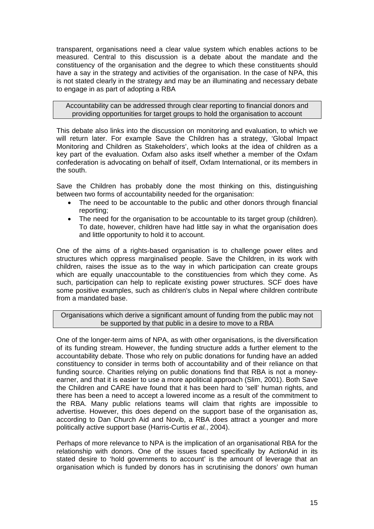transparent, organisations need a clear value system which enables actions to be measured. Central to this discussion is a debate about the mandate and the constituency of the organisation and the degree to which these constituents should have a say in the strategy and activities of the organisation. In the case of NPA, this is not stated clearly in the strategy and may be an illuminating and necessary debate to engage in as part of adopting a RBA

Accountability can be addressed through clear reporting to financial donors and providing opportunities for target groups to hold the organisation to account

This debate also links into the discussion on monitoring and evaluation, to which we will return later. For example Save the Children has a strategy, 'Global Impact Monitoring and Children as Stakeholders', which looks at the idea of children as a key part of the evaluation. Oxfam also asks itself whether a member of the Oxfam confederation is advocating on behalf of itself, Oxfam International, or its members in the south.

Save the Children has probably done the most thinking on this, distinguishing between two forms of accountability needed for the organisation:

- The need to be accountable to the public and other donors through financial reporting;
- The need for the organisation to be accountable to its target group (children). To date, however, children have had little say in what the organisation does and little opportunity to hold it to account.

One of the aims of a rights-based organisation is to challenge power elites and structures which oppress marginalised people. Save the Children, in its work with children, raises the issue as to the way in which participation can create groups which are equally unaccountable to the constituencies from which they come. As such, participation can help to replicate existing power structures. SCF does have some positive examples, such as children's clubs in Nepal where children contribute from a mandated base.

Organisations which derive a significant amount of funding from the public may not be supported by that public in a desire to move to a RBA

One of the longer-term aims of NPA, as with other organisations, is the diversification of its funding stream. However, the funding structure adds a further element to the accountability debate. Those who rely on public donations for funding have an added constituency to consider in terms both of accountability and of their reliance on that funding source. Charities relying on public donations find that RBA is not a moneyearner, and that it is easier to use a more apolitical approach (Slim, 2001). Both Save the Children and CARE have found that it has been hard to 'sell' human rights, and there has been a need to accept a lowered income as a result of the commitment to the RBA. Many public relations teams will claim that rights are impossible to advertise. However, this does depend on the support base of the organisation as, according to Dan Church Aid and Novib, a RBA does attract a younger and more politically active support base (Harris-Curtis *et al.*, 2004).

Perhaps of more relevance to NPA is the implication of an organisational RBA for the relationship with donors. One of the issues faced specifically by ActionAid in its stated desire to 'hold governments to account' is the amount of leverage that an organisation which is funded by donors has in scrutinising the donors' own human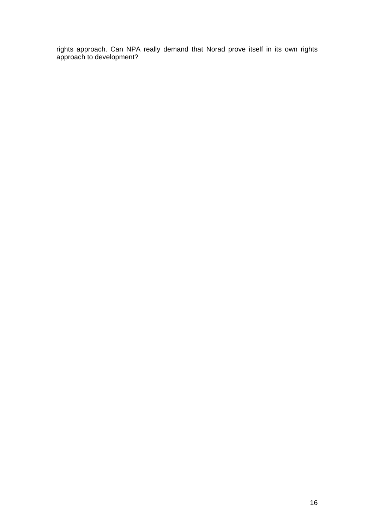rights approach. Can NPA really demand that Norad prove itself in its own rights approach to development?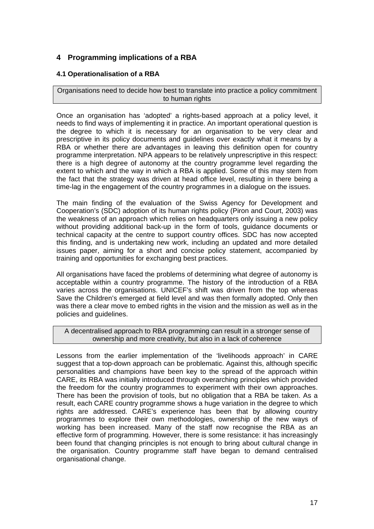# **4 Programming implications of a RBA**

# **4.1 Operationalisation of a RBA**

Organisations need to decide how best to translate into practice a policy commitment to human rights

Once an organisation has 'adopted' a rights-based approach at a policy level, it needs to find ways of implementing it in practice. An important operational question is the degree to which it is necessary for an organisation to be very clear and prescriptive in its policy documents and guidelines over exactly what it means by a RBA or whether there are advantages in leaving this definition open for country programme interpretation. NPA appears to be relatively unprescriptive in this respect: there is a high degree of autonomy at the country programme level regarding the extent to which and the way in which a RBA is applied. Some of this may stem from the fact that the strategy was driven at head office level, resulting in there being a time-lag in the engagement of the country programmes in a dialogue on the issues.

The main finding of the evaluation of the Swiss Agency for Development and Cooperation's (SDC) adoption of its human rights policy (Piron and Court, 2003) was the weakness of an approach which relies on headquarters only issuing a new policy without providing additional back-up in the form of tools, guidance documents or technical capacity at the centre to support country offices. SDC has now accepted this finding, and is undertaking new work, including an updated and more detailed issues paper, aiming for a short and concise policy statement, accompanied by training and opportunities for exchanging best practices.

All organisations have faced the problems of determining what degree of autonomy is acceptable within a country programme. The history of the introduction of a RBA varies across the organisations. UNICEF's shift was driven from the top whereas Save the Children's emerged at field level and was then formally adopted. Only then was there a clear move to embed rights in the vision and the mission as well as in the policies and guidelines.

## A decentralised approach to RBA programming can result in a stronger sense of ownership and more creativity, but also in a lack of coherence

Lessons from the earlier implementation of the 'livelihoods approach' in CARE suggest that a top-down approach can be problematic. Against this, although specific personalities and champions have been key to the spread of the approach within CARE, its RBA was initially introduced through overarching principles which provided the freedom for the country programmes to experiment with their own approaches. There has been the provision of tools, but no obligation that a RBA be taken. As a result, each CARE country programme shows a huge variation in the degree to which rights are addressed. CARE's experience has been that by allowing country programmes to explore their own methodologies, ownership of the new ways of working has been increased. Many of the staff now recognise the RBA as an effective form of programming. However, there is some resistance: it has increasingly been found that changing principles is not enough to bring about cultural change in the organisation. Country programme staff have began to demand centralised organisational change.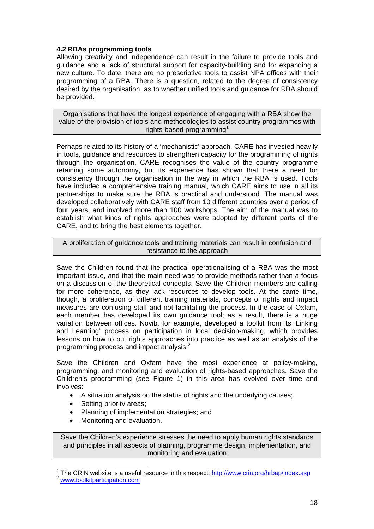# **4.2 RBAs programming tools**

Allowing creativity and independence can result in the failure to provide tools and guidance and a lack of structural support for capacity-building and for expanding a new culture. To date, there are no prescriptive tools to assist NPA offices with their programming of a RBA. There is a question, related to the degree of consistency desired by the organisation, as to whether unified tools and guidance for RBA should be provided.

Organisations that have the longest experience of engaging with a RBA show the value of the provision of tools and methodologies to assist country programmes with rights-based programming<sup>1</sup>

Perhaps related to its history of a 'mechanistic' approach, CARE has invested heavily in tools, guidance and resources to strengthen capacity for the programming of rights through the organisation. CARE recognises the value of the country programme retaining some autonomy, but its experience has shown that there a need for consistency through the organisation in the way in which the RBA is used. Tools have included a comprehensive training manual, which CARE aims to use in all its partnerships to make sure the RBA is practical and understood. The manual was developed collaboratively with CARE staff from 10 different countries over a period of four years, and involved more than 100 workshops. The aim of the manual was to establish what kinds of rights approaches were adopted by different parts of the CARE, and to bring the best elements together.

A proliferation of guidance tools and training materials can result in confusion and resistance to the approach

Save the Children found that the practical operationalising of a RBA was the most important issue, and that the main need was to provide methods rather than a focus on a discussion of the theoretical concepts. Save the Children members are calling for more coherence, as they lack resources to develop tools. At the same time, though, a proliferation of different training materials, concepts of rights and impact measures are confusing staff and not facilitating the process. In the case of Oxfam, each member has developed its own guidance tool; as a result, there is a huge variation between offices. Novib, for example, developed a toolkit from its 'Linking and Learning' process on participation in local decision-making, which provides lessons on how to put rights approaches into practice as well as an analysis of the programming process and impact analysis.<sup>2</sup>

Save the Children and Oxfam have the most experience at policy-making, programming, and monitoring and evaluation of rights-based approaches. Save the Children's programming (see Figure 1) in this area has evolved over time and involves:

- A situation analysis on the status of rights and the underlying causes;
- Setting priority areas;
- Planning of implementation strategies; and
- Monitoring and evaluation.

Save the Children's experience stresses the need to apply human rights standards and principles in all aspects of planning, programme design, implementation, and monitoring and evaluation

<sup>&</sup>lt;sup>1</sup> The CRIN website is a useful resource in this respect: <u>http://www.crin.org/hrbap/index.asp</u><br><sup>2</sup> <u>www.toolkitparticipation.com</u>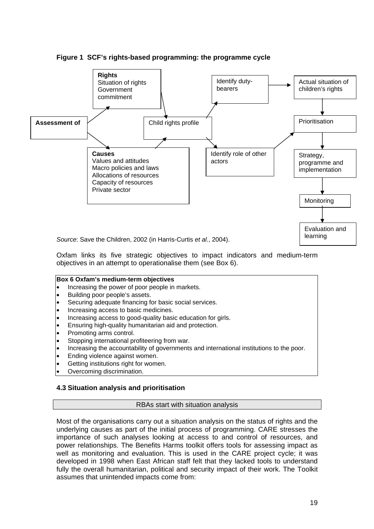



Oxfam links its five strategic objectives to impact indicators and medium-term objectives in an attempt to operationalise them (see Box 6).

## **Box 6 Oxfam's medium-term objectives**

- Increasing the power of poor people in markets.
- Building poor people's assets.
- Securing adequate financing for basic social services.
- Increasing access to basic medicines.
- Increasing access to good-quality basic education for girls.
- Ensuring high-quality humanitarian aid and protection.
- Promoting arms control.
- Stopping international profiteering from war.
- Increasing the accountability of governments and international institutions to the poor.
- Ending violence against women.
- Getting institutions right for women.
- Overcoming discrimination.

# **4.3 Situation analysis and prioritisation**

# RBAs start with situation analysis

Most of the organisations carry out a situation analysis on the status of rights and the underlying causes as part of the initial process of programming. CARE stresses the importance of such analyses looking at access to and control of resources, and power relationships. The Benefits Harms toolkit offers tools for assessing impact as well as monitoring and evaluation. This is used in the CARE project cycle; it was developed in 1998 when East African staff felt that they lacked tools to understand fully the overall humanitarian, political and security impact of their work. The Toolkit assumes that unintended impacts come from: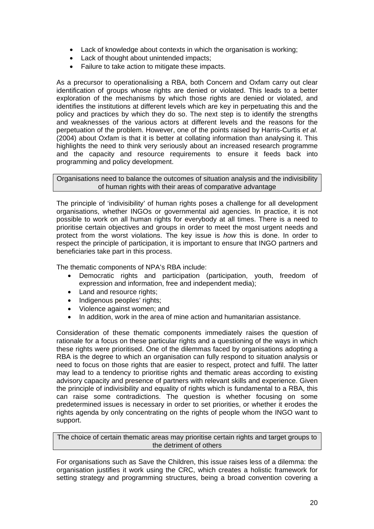- Lack of knowledge about contexts in which the organisation is working;
- Lack of thought about unintended impacts;
- Failure to take action to mitigate these impacts.

As a precursor to operationalising a RBA, both Concern and Oxfam carry out clear identification of groups whose rights are denied or violated. This leads to a better exploration of the mechanisms by which those rights are denied or violated, and identifies the institutions at different levels which are key in perpetuating this and the policy and practices by which they do so. The next step is to identify the strengths and weaknesses of the various actors at different levels and the reasons for the perpetuation of the problem. However, one of the points raised by Harris-Curtis *et al.* (2004) about Oxfam is that it is better at collating information than analysing it. This highlights the need to think very seriously about an increased research programme and the capacity and resource requirements to ensure it feeds back into programming and policy development.

Organisations need to balance the outcomes of situation analysis and the indivisibility of human rights with their areas of comparative advantage

The principle of 'indivisibility' of human rights poses a challenge for all development organisations, whether INGOs or governmental aid agencies. In practice, it is not possible to work on all human rights for everybody at all times. There is a need to prioritise certain objectives and groups in order to meet the most urgent needs and protect from the worst violations. The key issue is *how* this is done. In order to respect the principle of participation, it is important to ensure that INGO partners and beneficiaries take part in this process.

The thematic components of NPA's RBA include:

- Democratic rights and participation (participation, youth, freedom of expression and information, free and independent media);
- Land and resource rights;
- Indigenous peoples' rights;
- Violence against women; and
- In addition, work in the area of mine action and humanitarian assistance.

Consideration of these thematic components immediately raises the question of rationale for a focus on these particular rights and a questioning of the ways in which these rights were prioritised. One of the dilemmas faced by organisations adopting a RBA is the degree to which an organisation can fully respond to situation analysis or need to focus on those rights that are easier to respect, protect and fulfil. The latter may lead to a tendency to prioritise rights and thematic areas according to existing advisory capacity and presence of partners with relevant skills and experience. Given the principle of indivisibility and equality of rights which is fundamental to a RBA, this can raise some contradictions. The question is whether focusing on some predetermined issues is necessary in order to set priorities, or whether it erodes the rights agenda by only concentrating on the rights of people whom the INGO want to support.

The choice of certain thematic areas may prioritise certain rights and target groups to the detriment of others

For organisations such as Save the Children, this issue raises less of a dilemma: the organisation justifies it work using the CRC, which creates a holistic framework for setting strategy and programming structures, being a broad convention covering a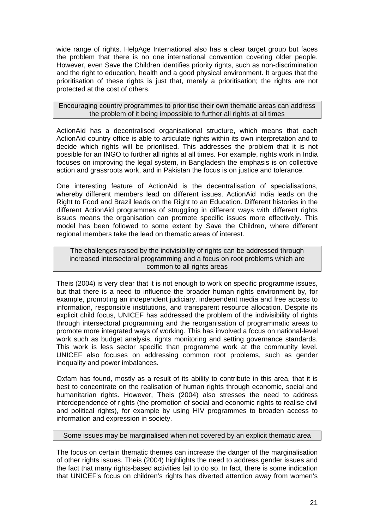wide range of rights. HelpAge International also has a clear target group but faces the problem that there is no one international convention covering older people. However, even Save the Children identifies priority rights, such as non-discrimination and the right to education, health and a good physical environment. It argues that the prioritisation of these rights is just that, merely a prioritisation; the rights are not protected at the cost of others.

Encouraging country programmes to prioritise their own thematic areas can address the problem of it being impossible to further all rights at all times

ActionAid has a decentralised organisational structure, which means that each ActionAid country office is able to articulate rights within its own interpretation and to decide which rights will be prioritised. This addresses the problem that it is not possible for an INGO to further all rights at all times. For example, rights work in India focuses on improving the legal system, in Bangladesh the emphasis is on collective action and grassroots work, and in Pakistan the focus is on justice and tolerance.

One interesting feature of ActionAid is the decentralisation of specialisations, whereby different members lead on different issues. ActionAid India leads on the Right to Food and Brazil leads on the Right to an Education. Different histories in the different ActionAid programmes of struggling in different ways with different rights issues means the organisation can promote specific issues more effectively. This model has been followed to some extent by Save the Children, where different regional members take the lead on thematic areas of interest.

The challenges raised by the indivisibility of rights can be addressed through increased intersectoral programming and a focus on root problems which are common to all rights areas

Theis (2004) is very clear that it is not enough to work on specific programme issues, but that there is a need to influence the broader human rights environment by, for example, promoting an independent judiciary, independent media and free access to information, responsible institutions, and transparent resource allocation. Despite its explicit child focus, UNICEF has addressed the problem of the indivisibility of rights through intersectoral programming and the reorganisation of programmatic areas to promote more integrated ways of working. This has involved a focus on national-level work such as budget analysis, rights monitoring and setting governance standards. This work is less sector specific than programme work at the community level. UNICEF also focuses on addressing common root problems, such as gender inequality and power imbalances.

Oxfam has found, mostly as a result of its ability to contribute in this area, that it is best to concentrate on the realisation of human rights through economic, social and humanitarian rights. However, Theis (2004) also stresses the need to address interdependence of rights (the promotion of social and economic rights to realise civil and political rights), for example by using HIV programmes to broaden access to information and expression in society.

## Some issues may be marginalised when not covered by an explicit thematic area

The focus on certain thematic themes can increase the danger of the marginalisation of other rights issues. Theis (2004) highlights the need to address gender issues and the fact that many rights-based activities fail to do so. In fact, there is some indication that UNICEF's focus on children's rights has diverted attention away from women's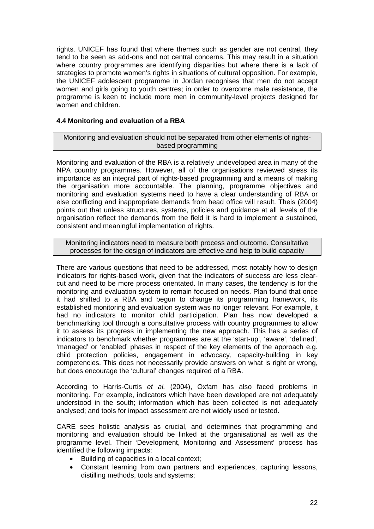rights. UNICEF has found that where themes such as gender are not central, they tend to be seen as add-ons and not central concerns. This may result in a situation where country programmes are identifying disparities but where there is a lack of strategies to promote women's rights in situations of cultural opposition. For example, the UNICEF adolescent programme in Jordan recognises that men do not accept women and girls going to youth centres; in order to overcome male resistance, the programme is keen to include more men in community-level projects designed for women and children.

# **4.4 Monitoring and evaluation of a RBA**

Monitoring and evaluation should not be separated from other elements of rightsbased programming

Monitoring and evaluation of the RBA is a relatively undeveloped area in many of the NPA country programmes. However, all of the organisations reviewed stress its importance as an integral part of rights-based programming and a means of making the organisation more accountable. The planning, programme objectives and monitoring and evaluation systems need to have a clear understanding of RBA or else conflicting and inappropriate demands from head office will result. Theis (2004) points out that unless structures, systems, policies and guidance at all levels of the organisation reflect the demands from the field it is hard to implement a sustained, consistent and meaningful implementation of rights.

Monitoring indicators need to measure both process and outcome. Consultative processes for the design of indicators are effective and help to build capacity

There are various questions that need to be addressed, most notably how to design indicators for rights-based work, given that the indicators of success are less clearcut and need to be more process orientated. In many cases, the tendency is for the monitoring and evaluation system to remain focused on needs. Plan found that once it had shifted to a RBA and begun to change its programming framework, its established monitoring and evaluation system was no longer relevant. For example, it had no indicators to monitor child participation. Plan has now developed a benchmarking tool through a consultative process with country programmes to allow it to assess its progress in implementing the new approach. This has a series of indicators to benchmark whether programmes are at the 'start-up', 'aware', 'defined', 'managed' or 'enabled' phases in respect of the key elements of the approach e.g. child protection policies, engagement in advocacy, capacity-building in key competencies. This does not necessarily provide answers on what is right or wrong, but does encourage the 'cultural' changes required of a RBA.

According to Harris-Curtis *et al.* (2004), Oxfam has also faced problems in monitoring. For example, indicators which have been developed are not adequately understood in the south; information which has been collected is not adequately analysed; and tools for impact assessment are not widely used or tested.

CARE sees holistic analysis as crucial, and determines that programming and monitoring and evaluation should be linked at the organisational as well as the programme level. Their 'Development, Monitoring and Assessment' process has identified the following impacts:

- Building of capacities in a local context;
- Constant learning from own partners and experiences, capturing lessons, distilling methods, tools and systems;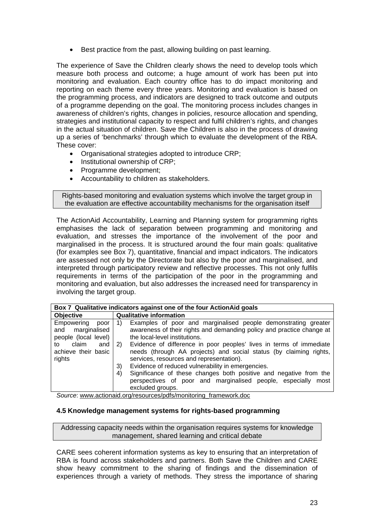• Best practice from the past, allowing building on past learning.

The experience of Save the Children clearly shows the need to develop tools which measure both process and outcome; a huge amount of work has been put into monitoring and evaluation. Each country office has to do impact monitoring and reporting on each theme every three years. Monitoring and evaluation is based on the programming process, and indicators are designed to track outcome and outputs of a programme depending on the goal. The monitoring process includes changes in awareness of children's rights, changes in policies, resource allocation and spending, strategies and institutional capacity to respect and fulfil children's rights, and changes in the actual situation of children. Save the Children is also in the process of drawing up a series of 'benchmarks' through which to evaluate the development of the RBA. These cover:

- Organisational strategies adopted to introduce CRP;
- Institutional ownership of CRP;
- Programme development;
- Accountability to children as stakeholders.

Rights-based monitoring and evaluation systems which involve the target group in the evaluation are effective accountability mechanisms for the organisation itself

The ActionAid Accountability, Learning and Planning system for programming rights emphasises the lack of separation between programming and monitoring and evaluation, and stresses the importance of the involvement of the poor and marginalised in the process. It is structured around the four main goals: qualitative (for examples see Box 7), quantitative, financial and impact indicators. The indicators are assessed not only by the Directorate but also by the poor and marginalised, and interpreted through participatory review and reflective processes. This not only fulfils requirements in terms of the participation of the poor in the programming and monitoring and evaluation, but also addresses the increased need for transparency in involving the target group.

| Box 7 Qualitative indicators against one of the four ActionAid goals                                                  |                                                                                                                                                                                                                                                                                                                                                                                                                                                                                                                                                                                                             |  |
|-----------------------------------------------------------------------------------------------------------------------|-------------------------------------------------------------------------------------------------------------------------------------------------------------------------------------------------------------------------------------------------------------------------------------------------------------------------------------------------------------------------------------------------------------------------------------------------------------------------------------------------------------------------------------------------------------------------------------------------------------|--|
| <b>Objective</b>                                                                                                      | <b>Qualitative information</b>                                                                                                                                                                                                                                                                                                                                                                                                                                                                                                                                                                              |  |
| Empowering<br>poor<br>and marginalised<br>people (local level)<br>claim<br>and<br>to<br>achieve their basic<br>rights | Examples of poor and marginalised people demonstrating greater<br>1)<br>awareness of their rights and demanding policy and practice change at<br>the local-level institutions.<br>Evidence of difference in poor peoples' lives in terms of immediate<br>2)<br>needs (through AA projects) and social status (by claiming rights,<br>services, resources and representation).<br>Evidence of reduced vulnerability in emergencies.<br>3)<br>Significance of these changes both positive and negative from the<br>4)<br>perspectives of poor and marginalised people, especially<br>most<br>excluded groups. |  |

*Source*: www.actionaid.org/resources/pdfs/monitoring\_framework.doc

# **4.5 Knowledge management systems for rights-based programming**

Addressing capacity needs within the organisation requires systems for knowledge management, shared learning and critical debate

CARE sees coherent information systems as key to ensuring that an interpretation of RBA is found across stakeholders and partners. Both Save the Children and CARE show heavy commitment to the sharing of findings and the dissemination of experiences through a variety of methods. They stress the importance of sharing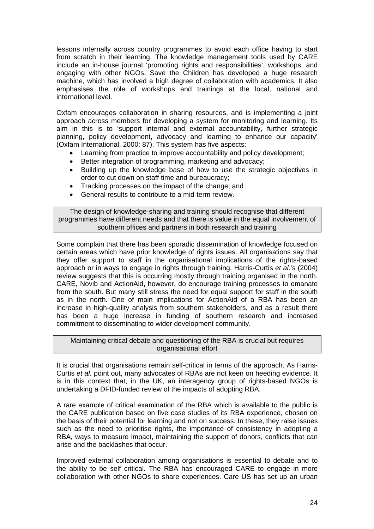lessons internally across country programmes to avoid each office having to start from scratch in their learning. The knowledge management tools used by CARE include an in-house journal 'promoting rights and responsibilities', workshops, and engaging with other NGOs. Save the Children has developed a huge research machine, which has involved a high degree of collaboration with academics. It also emphasises the role of workshops and trainings at the local, national and international level.

Oxfam encourages collaboration in sharing resources, and is implementing a joint approach across members for developing a system for monitoring and learning. Its aim in this is to 'support internal and external accountability, further strategic planning, policy development, advocacy and learning to enhance our capacity' (Oxfam International, 2000: 87). This system has five aspects:

- Learning from practice to improve accountability and policy development;
- Better integration of programming, marketing and advocacy;
- Building up the knowledge base of how to use the strategic objectives in order to cut down on staff time and bureaucracy;
- Tracking processes on the impact of the change; and
- General results to contribute to a mid-term review.

The design of knowledge-sharing and training should recognise that different programmes have different needs and that there is value in the equal involvement of southern offices and partners in both research and training

Some complain that there has been sporadic dissemination of knowledge focused on certain areas which have prior knowledge of rights issues. All organisations say that they offer support to staff in the organisational implications of the rights-based approach or in ways to engage in rights through training. Harris-Curtis *et al.*'s (2004) review suggests that this is occurring mostly through training organised in the north. CARE, Novib and ActionAid, however, do encourage training processes to emanate from the south. But many still stress the need for equal support for staff in the south as in the north. One of main implications for ActionAid of a RBA has been an increase in high-quality analysis from southern stakeholders, and as a result there has been a huge increase in funding of southern research and increased commitment to disseminating to wider development community.

## Maintaining critical debate and questioning of the RBA is crucial but requires organisational effort

It is crucial that organisations remain self-critical in terms of the approach. As Harris-Curtis *et al.* point out, many advocates of RBAs are not keen on heeding evidence. It is in this context that, in the UK, an interagency group of rights-based NGOs is undertaking a DFID-funded review of the impacts of adopting RBA.

A rare example of critical examination of the RBA which is available to the public is the CARE publication based on five case studies of its RBA experience, chosen on the basis of their potential for learning and not on success. In these, they raise issues such as the need to prioritise rights, the importance of consistency in adopting a RBA, ways to measure impact, maintaining the support of donors, conflicts that can arise and the backlashes that occur.

Improved external collaboration among organisations is essential to debate and to the ability to be self critical. The RBA has encouraged CARE to engage in more collaboration with other NGOs to share experiences. Care US has set up an urban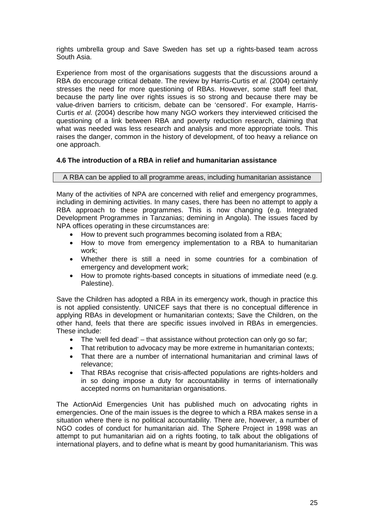rights umbrella group and Save Sweden has set up a rights-based team across South Asia.

Experience from most of the organisations suggests that the discussions around a RBA do encourage critical debate. The review by Harris-Curtis *et al.* (2004) certainly stresses the need for more questioning of RBAs. However, some staff feel that, because the party line over rights issues is so strong and because there may be value-driven barriers to criticism, debate can be 'censored'. For example, Harris-Curtis *et al.* (2004) describe how many NGO workers they interviewed criticised the questioning of a link between RBA and poverty reduction research, claiming that what was needed was less research and analysis and more appropriate tools. This raises the danger, common in the history of development, of too heavy a reliance on one approach.

# **4.6 The introduction of a RBA in relief and humanitarian assistance**

# A RBA can be applied to all programme areas, including humanitarian assistance

Many of the activities of NPA are concerned with relief and emergency programmes, including in demining activities. In many cases, there has been no attempt to apply a RBA approach to these programmes. This is now changing (e.g. Integrated Development Programmes in Tanzanias; demining in Angola). The issues faced by NPA offices operating in these circumstances are:

- How to prevent such programmes becoming isolated from a RBA;
- How to move from emergency implementation to a RBA to humanitarian work;
- Whether there is still a need in some countries for a combination of emergency and development work;
- How to promote rights-based concepts in situations of immediate need (e.g. Palestine).

Save the Children has adopted a RBA in its emergency work, though in practice this is not applied consistently. UNICEF says that there is no conceptual difference in applying RBAs in development or humanitarian contexts; Save the Children, on the other hand, feels that there are specific issues involved in RBAs in emergencies. These include:

- The 'well fed dead' that assistance without protection can only go so far;
- That retribution to advocacy may be more extreme in humanitarian contexts;
- That there are a number of international humanitarian and criminal laws of relevance;
- That RBAs recognise that crisis-affected populations are rights-holders and in so doing impose a duty for accountability in terms of internationally accepted norms on humanitarian organisations.

The ActionAid Emergencies Unit has published much on advocating rights in emergencies. One of the main issues is the degree to which a RBA makes sense in a situation where there is no political accountability. There are, however, a number of NGO codes of conduct for humanitarian aid. The Sphere Project in 1998 was an attempt to put humanitarian aid on a rights footing, to talk about the obligations of international players, and to define what is meant by good humanitarianism. This was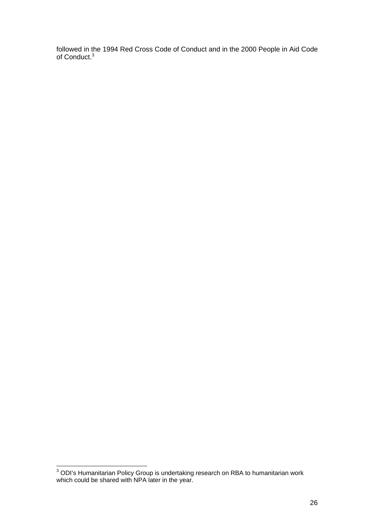followed in the 1994 Red Cross Code of Conduct and in the 2000 People in Aid Code of Conduct.<sup>3</sup>

 3 ODI's Humanitarian Policy Group is undertaking research on RBA to humanitarian work which could be shared with NPA later in the year.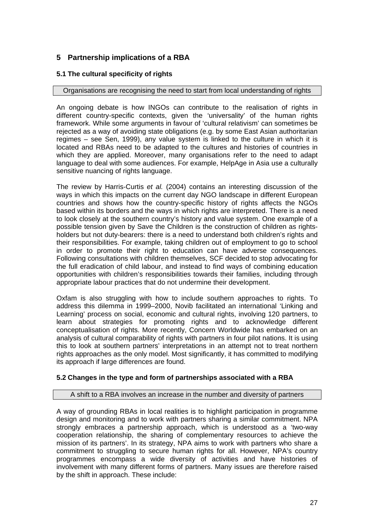# **5 Partnership implications of a RBA**

# **5.1 The cultural specificity of rights**

## Organisations are recognising the need to start from local understanding of rights

An ongoing debate is how INGOs can contribute to the realisation of rights in different country-specific contexts, given the 'universality' of the human rights framework. While some arguments in favour of 'cultural relativism' can sometimes be rejected as a way of avoiding state obligations (e.g. by some East Asian authoritarian regimes – see Sen, 1999), any value system is linked to the culture in which it is located and RBAs need to be adapted to the cultures and histories of countries in which they are applied. Moreover, many organisations refer to the need to adapt language to deal with some audiences. For example, HelpAge in Asia use a culturally sensitive nuancing of rights language.

The review by Harris-Curtis *et al.* (2004) contains an interesting discussion of the ways in which this impacts on the current day NGO landscape in different European countries and shows how the country-specific history of rights affects the NGOs based within its borders and the ways in which rights are interpreted. There is a need to look closely at the southern country's history and value system. One example of a possible tension given by Save the Children is the construction of children as rightsholders but not duty-bearers: there is a need to understand both children's rights and their responsibilities. For example, taking children out of employment to go to school in order to promote their right to education can have adverse consequences. Following consultations with children themselves, SCF decided to stop advocating for the full eradication of child labour, and instead to find ways of combining education opportunities with children's responsibilities towards their families, including through appropriate labour practices that do not undermine their development.

Oxfam is also struggling with how to include southern approaches to rights. To address this dilemma in 1999–2000, Novib facilitated an international 'Linking and Learning' process on social, economic and cultural rights, involving 120 partners, to learn about strategies for promoting rights and to acknowledge different conceptualisation of rights. More recently, Concern Worldwide has embarked on an analysis of cultural comparability of rights with partners in four pilot nations. It is using this to look at southern partners' interpretations in an attempt not to treat northern rights approaches as the only model. Most significantly, it has committed to modifying its approach if large differences are found.

# **5.2 Changes in the type and form of partnerships associated with a RBA**

## A shift to a RBA involves an increase in the number and diversity of partners

A way of grounding RBAs in local realities is to highlight participation in programme design and monitoring and to work with partners sharing a similar commitment. NPA strongly embraces a partnership approach, which is understood as a 'two-way cooperation relationship, the sharing of complementary resources to achieve the mission of its partners'. In its strategy, NPA aims to work with partners who share a commitment to struggling to secure human rights for all. However, NPA's country programmes encompass a wide diversity of activities and have histories of involvement with many different forms of partners. Many issues are therefore raised by the shift in approach. These include: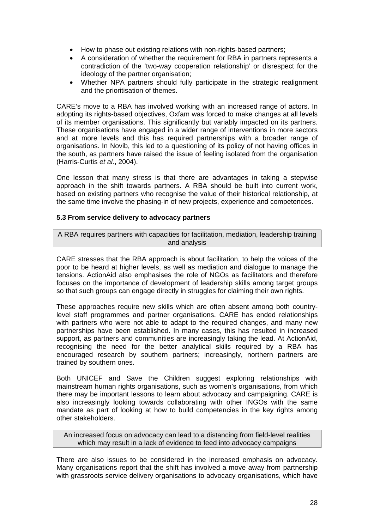- How to phase out existing relations with non-rights-based partners;
- A consideration of whether the requirement for RBA in partners represents a contradiction of the 'two-way cooperation relationship' or disrespect for the ideology of the partner organisation;
- Whether NPA partners should fully participate in the strategic realignment and the prioritisation of themes.

CARE's move to a RBA has involved working with an increased range of actors. In adopting its rights-based objectives, Oxfam was forced to make changes at all levels of its member organisations. This significantly but variably impacted on its partners. These organisations have engaged in a wider range of interventions in more sectors and at more levels and this has required partnerships with a broader range of organisations. In Novib, this led to a questioning of its policy of not having offices in the south, as partners have raised the issue of feeling isolated from the organisation (Harris-Curtis *et al.*, 2004).

One lesson that many stress is that there are advantages in taking a stepwise approach in the shift towards partners. A RBA should be built into current work, based on existing partners who recognise the value of their historical relationship, at the same time involve the phasing-in of new projects, experience and competences.

# **5.3 From service delivery to advocacy partners**

A RBA requires partners with capacities for facilitation, mediation, leadership training and analysis

CARE stresses that the RBA approach is about facilitation, to help the voices of the poor to be heard at higher levels, as well as mediation and dialogue to manage the tensions. ActionAid also emphasises the role of NGOs as facilitators and therefore focuses on the importance of development of leadership skills among target groups so that such groups can engage directly in struggles for claiming their own rights.

These approaches require new skills which are often absent among both countrylevel staff programmes and partner organisations. CARE has ended relationships with partners who were not able to adapt to the required changes, and many new partnerships have been established. In many cases, this has resulted in increased support, as partners and communities are increasingly taking the lead. At ActionAid, recognising the need for the better analytical skills required by a RBA has encouraged research by southern partners; increasingly, northern partners are trained by southern ones.

Both UNICEF and Save the Children suggest exploring relationships with mainstream human rights organisations, such as women's organisations, from which there may be important lessons to learn about advocacy and campaigning. CARE is also increasingly looking towards collaborating with other INGOs with the same mandate as part of looking at how to build competencies in the key rights among other stakeholders.

An increased focus on advocacy can lead to a distancing from field-level realities which may result in a lack of evidence to feed into advocacy campaigns

There are also issues to be considered in the increased emphasis on advocacy. Many organisations report that the shift has involved a move away from partnership with grassroots service delivery organisations to advocacy organisations, which have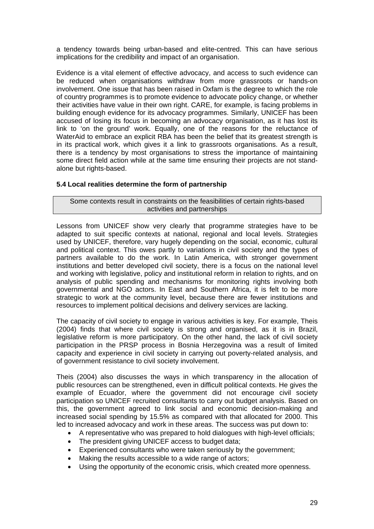a tendency towards being urban-based and elite-centred. This can have serious implications for the credibility and impact of an organisation.

Evidence is a vital element of effective advocacy, and access to such evidence can be reduced when organisations withdraw from more grassroots or hands-on involvement. One issue that has been raised in Oxfam is the degree to which the role of country programmes is to promote evidence to advocate policy change, or whether their activities have value in their own right. CARE, for example, is facing problems in building enough evidence for its advocacy programmes. Similarly, UNICEF has been accused of losing its focus in becoming an advocacy organisation, as it has lost its link to 'on the ground' work. Equally, one of the reasons for the reluctance of WaterAid to embrace an explicit RBA has been the belief that its greatest strength is in its practical work, which gives it a link to grassroots organisations. As a result, there is a tendency by most organisations to stress the importance of maintaining some direct field action while at the same time ensuring their projects are not standalone but rights-based.

# **5.4 Local realities determine the form of partnership**

Some contexts result in constraints on the feasibilities of certain rights-based activities and partnerships

Lessons from UNICEF show very clearly that programme strategies have to be adapted to suit specific contexts at national, regional and local levels. Strategies used by UNICEF, therefore, vary hugely depending on the social, economic, cultural and political context. This owes partly to variations in civil society and the types of partners available to do the work. In Latin America, with stronger government institutions and better developed civil society, there is a focus on the national level and working with legislative, policy and institutional reform in relation to rights, and on analysis of public spending and mechanisms for monitoring rights involving both governmental and NGO actors. In East and Southern Africa, it is felt to be more strategic to work at the community level, because there are fewer institutions and resources to implement political decisions and delivery services are lacking.

The capacity of civil society to engage in various activities is key. For example, Theis (2004) finds that where civil society is strong and organised, as it is in Brazil, legislative reform is more participatory. On the other hand, the lack of civil society participation in the PRSP process in Bosnia Herzegovina was a result of limited capacity and experience in civil society in carrying out poverty-related analysis, and of government resistance to civil society involvement.

Theis (2004) also discusses the ways in which transparency in the allocation of public resources can be strengthened, even in difficult political contexts. He gives the example of Ecuador, where the government did not encourage civil society participation so UNICEF recruited consultants to carry out budget analysis. Based on this, the government agreed to link social and economic decision-making and increased social spending by 15.5% as compared with that allocated for 2000. This led to increased advocacy and work in these areas. The success was put down to:

- A representative who was prepared to hold dialogues with high-level officials;
- The president giving UNICEF access to budget data:
- Experienced consultants who were taken seriously by the government;
- Making the results accessible to a wide range of actors;
- Using the opportunity of the economic crisis, which created more openness.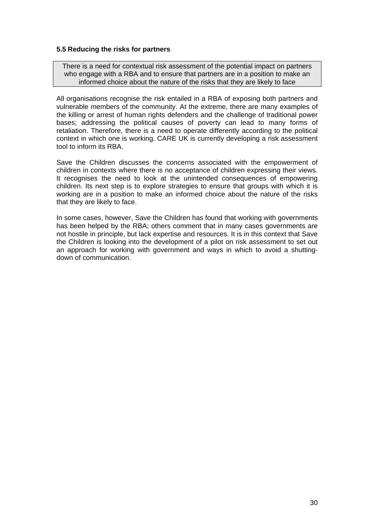# **5.5 Reducing the risks for partners**

There is a need for contextual risk assessment of the potential impact on partners who engage with a RBA and to ensure that partners are in a position to make an informed choice about the nature of the risks that they are likely to face

All organisations recognise the risk entailed in a RBA of exposing both partners and vulnerable members of the community. At the extreme, there are many examples of the killing or arrest of human rights defenders and the challenge of traditional power bases; addressing the political causes of poverty can lead to many forms of retaliation. Therefore, there is a need to operate differently according to the political context in which one is working. CARE UK is currently developing a risk assessment tool to inform its RBA.

Save the Children discusses the concerns associated with the empowerment of children in contexts where there is no acceptance of children expressing their views. It recognises the need to look at the unintended consequences of empowering children. Its next step is to explore strategies to ensure that groups with which it is working are in a position to make an informed choice about the nature of the risks that they are likely to face.

In some cases, however, Save the Children has found that working with governments has been helped by the RBA; others comment that in many cases governments are not hostile in principle, but lack expertise and resources. It is in this context that Save the Children is looking into the development of a pilot on risk assessment to set out an approach for working with government and ways in which to avoid a shuttingdown of communication.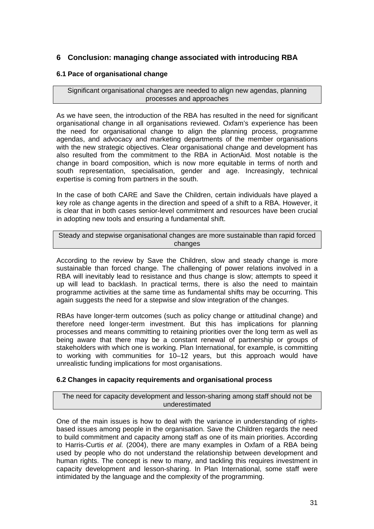# **6 Conclusion: managing change associated with introducing RBA**

# **6.1 Pace of organisational change**

Significant organisational changes are needed to align new agendas, planning processes and approaches

As we have seen, the introduction of the RBA has resulted in the need for significant organisational change in all organisations reviewed. Oxfam's experience has been the need for organisational change to align the planning process, programme agendas, and advocacy and marketing departments of the member organisations with the new strategic objectives. Clear organisational change and development has also resulted from the commitment to the RBA in ActionAid. Most notable is the change in board composition, which is now more equitable in terms of north and south representation, specialisation, gender and age. Increasingly, technical expertise is coming from partners in the south.

In the case of both CARE and Save the Children, certain individuals have played a key role as change agents in the direction and speed of a shift to a RBA. However, it is clear that in both cases senior-level commitment and resources have been crucial in adopting new tools and ensuring a fundamental shift.

Steady and stepwise organisational changes are more sustainable than rapid forced changes

According to the review by Save the Children, slow and steady change is more sustainable than forced change. The challenging of power relations involved in a RBA will inevitably lead to resistance and thus change is slow; attempts to speed it up will lead to backlash. In practical terms, there is also the need to maintain programme activities at the same time as fundamental shifts may be occurring. This again suggests the need for a stepwise and slow integration of the changes.

RBAs have longer-term outcomes (such as policy change or attitudinal change) and therefore need longer-term investment. But this has implications for planning processes and means committing to retaining priorities over the long term as well as being aware that there may be a constant renewal of partnership or groups of stakeholders with which one is working. Plan International, for example, is committing to working with communities for 10–12 years, but this approach would have unrealistic funding implications for most organisations.

# **6.2 Changes in capacity requirements and organisational process**

The need for capacity development and lesson-sharing among staff should not be underestimated

One of the main issues is how to deal with the variance in understanding of rightsbased issues among people in the organisation. Save the Children regards the need to build commitment and capacity among staff as one of its main priorities. According to Harris-Curtis *et al.* (2004), there are many examples in Oxfam of a RBA being used by people who do not understand the relationship between development and human rights. The concept is new to many, and tackling this requires investment in capacity development and lesson-sharing. In Plan International, some staff were intimidated by the language and the complexity of the programming.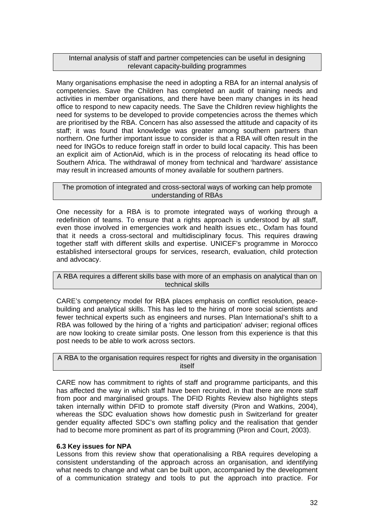## Internal analysis of staff and partner competencies can be useful in designing relevant capacity-building programmes

Many organisations emphasise the need in adopting a RBA for an internal analysis of competencies. Save the Children has completed an audit of training needs and activities in member organisations, and there have been many changes in its head office to respond to new capacity needs. The Save the Children review highlights the need for systems to be developed to provide competencies across the themes which are prioritised by the RBA. Concern has also assessed the attitude and capacity of its staff; it was found that knowledge was greater among southern partners than northern. One further important issue to consider is that a RBA will often result in the need for INGOs to reduce foreign staff in order to build local capacity. This has been an explicit aim of ActionAid, which is in the process of relocating its head office to Southern Africa. The withdrawal of money from technical and 'hardware' assistance may result in increased amounts of money available for southern partners.

## The promotion of integrated and cross-sectoral ways of working can help promote understanding of RBAs

One necessity for a RBA is to promote integrated ways of working through a redefinition of teams. To ensure that a rights approach is understood by all staff, even those involved in emergencies work and health issues etc., Oxfam has found that it needs a cross-sectoral and multidisciplinary focus. This requires drawing together staff with different skills and expertise. UNICEF's programme in Morocco established intersectoral groups for services, research, evaluation, child protection and advocacy.

A RBA requires a different skills base with more of an emphasis on analytical than on technical skills

CARE's competency model for RBA places emphasis on conflict resolution, peacebuilding and analytical skills. This has led to the hiring of more social scientists and fewer technical experts such as engineers and nurses. Plan International's shift to a RBA was followed by the hiring of a 'rights and participation' adviser; regional offices are now looking to create similar posts. One lesson from this experience is that this post needs to be able to work across sectors.

A RBA to the organisation requires respect for rights and diversity in the organisation itself

CARE now has commitment to rights of staff and programme participants, and this has affected the way in which staff have been recruited, in that there are more staff from poor and marginalised groups. The DFID Rights Review also highlights steps taken internally within DFID to promote staff diversity (Piron and Watkins, 2004), whereas the SDC evaluation shows how domestic push in Switzerland for greater gender equality affected SDC's own staffing policy and the realisation that gender had to become more prominent as part of its programming (Piron and Court, 2003).

# **6.3 Key issues for NPA**

Lessons from this review show that operationalising a RBA requires developing a consistent understanding of the approach across an organisation, and identifying what needs to change and what can be built upon, accompanied by the development of a communication strategy and tools to put the approach into practice. For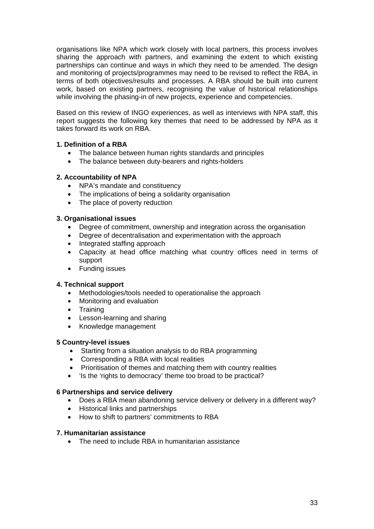organisations like NPA which work closely with local partners, this process involves sharing the approach with partners, and examining the extent to which existing partnerships can continue and ways in which they need to be amended. The design and monitoring of projects/programmes may need to be revised to reflect the RBA, in terms of both objectives/results and processes. A RBA should be built into current work, based on existing partners, recognising the value of historical relationships while involving the phasing-in of new projects, experience and competencies.

Based on this review of INGO experiences, as well as interviews with NPA staff, this report suggests the following key themes that need to be addressed by NPA as it takes forward its work on RBA

# **1. Definition of a RBA**

- The balance between human rights standards and principles
- The balance between duty-bearers and rights-holders

# **2. Accountability of NPA**

- NPA's mandate and constituency
- The implications of being a solidarity organisation
- The place of poverty reduction

# **3. Organisational issues**

- Degree of commitment, ownership and integration across the organisation
- Degree of decentralisation and experimentation with the approach
- Integrated staffing approach
- Capacity at head office matching what country offices need in terms of support
- Funding issues

# **4. Technical support**

- Methodologies/tools needed to operationalise the approach
- Monitoring and evaluation
- Training
- Lesson-learning and sharing
- Knowledge management

# **5 Country-level issues**

- Starting from a situation analysis to do RBA programming
- Corresponding a RBA with local realities
- Prioritisation of themes and matching them with country realities
- 'Is the 'rights to democracy' theme too broad to be practical?

# **6 Partnerships and service delivery**

- Does a RBA mean abandoning service delivery or delivery in a different way?
- Historical links and partnerships
- How to shift to partners' commitments to RBA

# **7. Humanitarian assistance**

• The need to include RBA in humanitarian assistance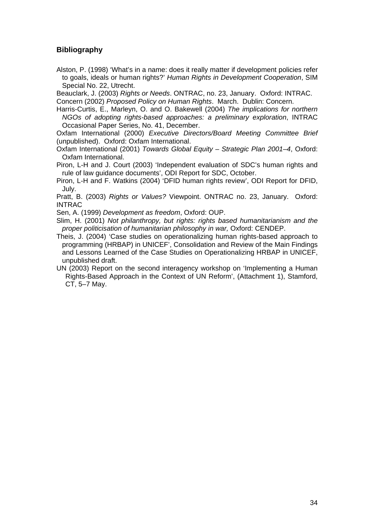# **Bibliography**

Alston, P. (1998) 'What's in a name: does it really matter if development policies refer to goals, ideals or human rights?' *Human Rights in Development Cooperation*, SIM Special No. 22, Utrecht.

Beauclark, J. (2003) *Rights or Needs*. ONTRAC, no. 23, January. Oxford: INTRAC. Concern (2002) *Proposed Policy on Human Rights*. March. Dublin: Concern.

Harris-Curtis, E., Marleyn, O. and O. Bakewell (2004) *The implications for northern NGOs of adopting rights-based approaches: a preliminary exploration*, INTRAC Occasional Paper Series, No. 41, December.

Oxfam International (2000) *Executive Directors/Board Meeting Committee Brief* (unpublished). Oxford: Oxfam International.

Oxfam International (2001) *Towards Global Equity – Strategic Plan 2001–4*, Oxford: Oxfam International.

Piron, L-H and J. Court (2003) 'Independent evaluation of SDC's human rights and rule of law guidance documents', ODI Report for SDC, October.

Piron, L-H and F. Watkins (2004) 'DFID human rights review', ODI Report for DFID, July.

Pratt, B. (2003) *Rights or Values?* Viewpoint. ONTRAC no. 23, January. Oxford: INTRAC

Sen, A. (1999) *Development as freedom*, Oxford: OUP.

Slim, H. (2001) *Not philanthropy, but rights: rights based humanitarianism and the proper politicisation of humanitarian philosophy in war,* Oxford: CENDEP.

- Theis, J. (2004) 'Case studies on operationalizing human rights-based approach to programming (HRBAP) in UNICEF', Consolidation and Review of the Main Findings and Lessons Learned of the Case Studies on Operationalizing HRBAP in UNICEF, unpublished draft.
- UN (2003) Report on the second interagency workshop on 'Implementing a Human Rights-Based Approach in the Context of UN Reform', (Attachment 1), Stamford, CT, 5–7 May.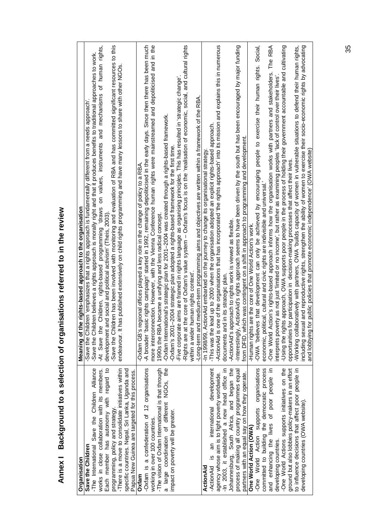| Organisation                                                                                        | Meaning of the rights-based approach to the organisation                                                                                                                                                              |
|-----------------------------------------------------------------------------------------------------|-----------------------------------------------------------------------------------------------------------------------------------------------------------------------------------------------------------------------|
| Save the Children                                                                                   | Save the Children 'emphasizes that a rights approach is fundamentally different from a needs approach                                                                                                                 |
| Save the Children Alliance<br>-The International                                                    | Save the Children believes a rights approach is morally right and that it produces benefits to traditional approaches to work.                                                                                        |
| works in close collaboration with its members.                                                      | rights,<br>of human<br>and mechanisms<br>on values, instruments<br>Children, rights-based programming draws<br>-At Save the                                                                                           |
| Each member has autonomy with regard to                                                             | development and social and political activism' (Theis, 2003)                                                                                                                                                          |
| programming, policy and strategy.                                                                   | -Save the Children has been involved with monitoring and evaluation of RBA and has committed significant resources to this                                                                                            |
| -There is a move to consolidate initiatives within                                                  | endeavour. It has published extensively on child rights programming and have many lessons to share with other NGOs                                                                                                    |
| specific countries. Nepal, Sri Lanka, Uganda and<br>Papua New Guinea are targeted for this process. |                                                                                                                                                                                                                       |
| Oxfam                                                                                               | -Oxfam GB's regional offices played a key role in the change of policy to a RBA.                                                                                                                                      |
| -Oxfam is a confederation of 12 organisations                                                       | -A broader 'basic rights campaign' started in 1992, remaining depoliticised in the early days. Since then there has been much                                                                                         |
| working in over 100 countries.                                                                      | ection. However, with the Vienna Conference human rights were mainstreamed and depoliticised and in the<br>more interconr                                                                                             |
| -The vision of Oxfam International is that through                                                  | became a unifying and less radical concept.<br>1990s the RBA                                                                                                                                                          |
| a large coordination of different NGOs, the                                                         | -Oxfam International's strategic plan for 2001-2004 was created through a rights-based framework.                                                                                                                     |
| impact on poverty will be greater.                                                                  | -Oxfam's 2001-2004 strategic plan adopted a rights-based framework for the first time.                                                                                                                                |
|                                                                                                     | aims are framed in rights language as organising principles. This has resulted in 'strategic change'<br>-Five corporate                                                                                               |
|                                                                                                     | the core of Oxfam's value system - Oxfam's focus is on the 'realisation of economic, social, and cultural rights<br>-Rights are at t                                                                                  |
|                                                                                                     | human rights context<br>within a wider                                                                                                                                                                                |
|                                                                                                     | -Long-term and medium-term programming aims and objectives are written within a framework of the RBA.                                                                                                                 |
| ActionAid                                                                                           | -In 1998/99, ActionAid embarked on the journey to change its organisational strategy                                                                                                                                  |
| an international development<br><u>ي</u><br>-ActionAid                                              | This was the lead up to 2000 when the organisation adopted an explicit rights-based approach.                                                                                                                         |
| agency whose aim is to fight poverty worldwide.                                                     | ActionAid is one of the organisations that has incorporated 'the rights approach' into its mission and explains this in numerous                                                                                      |
| -In 2003, it established a new head office in                                                       | documents and in its strategic plan.                                                                                                                                                                                  |
| Johannesburg, South Africa, and began the                                                           | proach to rights work is viewed as flexible.<br>ActionAid's ap                                                                                                                                                        |
| process of making all country programmes equal                                                      | -Interestingly, ActionAid's rights approach seems to have been driven by the south but has been encouraged by major funding                                                                                           |
| partners with an equal say on how they operate.                                                     | rom DFID, which was contingent on a shift in approach to programming and development.                                                                                                                                 |
| One World Action (OWA)                                                                              | Human rights are the core of One World Action's work.                                                                                                                                                                 |
| -One World Action supports organisations                                                            | people to exercise their human rights. Social,<br>-OWA 'believes that development can only be achieved by encouraging                                                                                                 |
| committed to building the democratic process                                                        | economic, political, cultural and civic rights are indivisible and universal.'                                                                                                                                        |
| and enhancing the lives of poor people in                                                           | RBA<br>The<br>-One World Action's rights-based approach informs how the organisation works with partners and stakeholders.                                                                                            |
| developing countries.                                                                               | interprets poverty as not just 'limited or no income', but rather as examining peoples 'lack of control over their lives'                                                                                             |
| -One World Actions supports initiatives on the                                                      | ts approach, OWA supports poor people in the process of holding their government accountable and cultivating<br>-Using the right                                                                                      |
| ground but also lobbies policy-makers in an effort                                                  | oportunities for participation in decision-making processes that affect their lives.                                                                                                                                  |
| to influence decisions that affect poor people in                                                   | -Working collaboratively with partners, OWA 'builds capacity of women in vulnerable situations to defend their human rights,                                                                                          |
| developing countries (OWA website).                                                                 | including sexual and reproductive rights, strengthen the ability of women to exercise their socio-economic rights by advocating<br>and lobbying for public policies that promote economic independence' (OWA website) |
|                                                                                                     |                                                                                                                                                                                                                       |

# **Annex I Background to a selection of organisations referred to in the review**  Annex | Background to a selection of organisations referred to in the review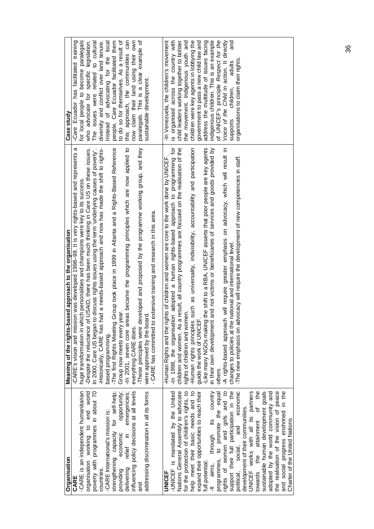| Organisation                                                             | Meaning of the rights-based approach to the organisation                                                                        | Case study                                |
|--------------------------------------------------------------------------|---------------------------------------------------------------------------------------------------------------------------------|-------------------------------------------|
| CARE                                                                     | -CARE's vision and mission was developed 1998-99. It is very rights-based and represents a                                      | -Care Ecuador has facilitated training    |
| -CARE is an independent humanitarian                                     | huge transformation in which personalities and champions were key to its success.                                               | for local people to become paralegals     |
| organisation working to end world<br>poverty with programmes in about 70 | USAID, there has been much thinking in Care US on these issues.<br>-Despite the reluctance of                                   | legislation.<br>who advocate for specific |
|                                                                          | In 2000, Care US began to discuss rights issues using the term 'underlying causes of poverty'.                                  | The issues were related to cultural       |
| countries.                                                               | Historically, CARE has had a needs-based approach and now has made the shift to rights-                                         | diversity and conflict over land tenure.  |
| -CARE International's mission is:                                        | based programming.                                                                                                              | Instead of advocating for the local       |
| strengthening capacity for self-help;                                    | The first Rights Meeting Group took place in 1999 in Atlanta and a Rights-Based Reference                                       | people, Care Ecuador facilitated them     |
| opportunity;<br>economic<br>providing                                    | Group now meets every yea                                                                                                       | to do so for themselves. As a result of   |
| relief in emergencies;<br>delivering                                     | -In 2001, seven core areas became the programming principles which are now applied to                                           | approach, the communities can<br>this     |
| influencing policy decisions at all levels                               | everything CARE does.                                                                                                           | now claim their land using their own      |
| and                                                                      | These principles were developed and proposed by the programme working group, and they                                           | paralegals. This is a clear example of    |
| addressing discrimination in all its forms                               | - CARE has committed to extensive training and research in this area.<br>were approved by the board                             | sustainable development.                  |
| UNICEF                                                                   | Human Rights and the rights of children and women are core to the work done by UNICEF-                                          | -In Venezuela, the children's movement    |
| -UNICEF is mandated by the United                                        | -In 1998, the organisation adopted a human rights-based approach to programming for                                             | is organised across the country with      |
| Nations General Assembly to advocate                                     | result, all country programmes are focused on the realisation of the<br>children and women. As a                                | child leaders working together to bolster |
| for the protection of children's rights, to                              | rights of children and women.                                                                                                   | the movement. Indigenous youth and        |
| help meet their basic needs and to                                       | such as universality, indivisibility, accountability and participation<br>-Human rights principles<br>guide the work of UNICEF. | children were key agents in lobbying the  |
| expand their opportunities to reach their                                |                                                                                                                                 | government to pass a new child law and    |
| full potential.                                                          | the shift to a RBA, UNICEF asserts that poor people are key agents<br>-Like many NGOs making                                    | address the multitude of issues facing    |
| -It aims, through its country                                            | in their own development and not victims or beneficiaries of services and goods provided by                                     | indigenous children. This is an example   |
| programmes, to promote the equal                                         | others.                                                                                                                         | of UNICEF's principle Respect for the     |
| rights of women and girls and to                                         | will require greater emphasis on advocacy, which will result in<br>-A rights-based approach                                     | Voice of the Child in action. It directly |
| support their full participation in the                                  | changes to policies at the national and international level.                                                                    | and<br>adults<br>children,<br>supports    |
| and economic<br>political, social,                                       | The new emphasis on advocacy will require the development of new competencies in staff.                                         | organisations to claim their rights.      |
| development of their communities.                                        |                                                                                                                                 |                                           |
| UNICEF works with all its partners<br>towards the attainment of the      |                                                                                                                                 |                                           |
|                                                                          |                                                                                                                                 |                                           |
| sustainable human development goals                                      |                                                                                                                                 |                                           |
| adopted by the world community and                                       |                                                                                                                                 |                                           |
| the realisation of the vision of peace                                   |                                                                                                                                 |                                           |
| and social progress enshrined in the                                     |                                                                                                                                 |                                           |
| Charter of the United Nations                                            |                                                                                                                                 |                                           |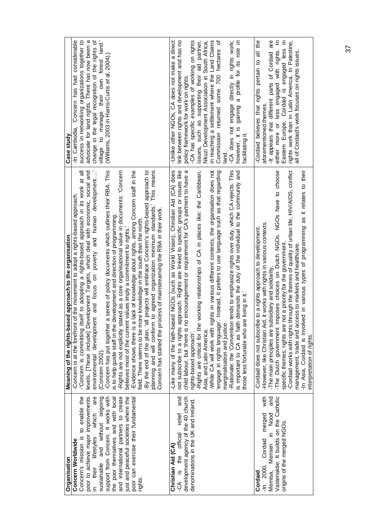| Organisation                                                                | Meaning of the rights-based approach to the organisation                                                                                                                      | Case study                                                                                        |
|-----------------------------------------------------------------------------|-------------------------------------------------------------------------------------------------------------------------------------------------------------------------------|---------------------------------------------------------------------------------------------------|
| Concern Worldwide                                                           | -Concern is at the forefront of the movement to adopt a rights-based approach.                                                                                                | -In Cambodia, 'Concern has had considerable                                                       |
| poor to achieve major improvements<br>Concern's mission is to enable the    | levels. [These include] Development Targets, which deal with economic, social and<br>Concern is committing itself to adopting a rights-based approach in its work at all      | success in networking organizations together to<br>advocate for land rights. There has now been a |
| in their lifestyles which are<br>sustainable and without ongoing            | and focus on poverty and human development<br>environmental development                                                                                                       | change in the legal recognition of the rights of                                                  |
| support from Concern. It works with                                         | series of policy documents which outlines their RBA. This<br>-Concern has put together a<br>(Concern 2002).                                                                   | village to manage their own forest land.'<br>(Williams, 2003 in Harris-Curtis et al, 2004).)      |
| and international partners to create<br>the poor themselves and with local  | -Rights are not explicitly stated as a core organisational value in documents: 'Concern<br>is to help guide staff in the development and direction of programming             |                                                                                                   |
| ust and peaceful societies where the<br>poor can exercise their fundamental | lack of knowledge about rights, among Concern staff in the<br>values imply a commitment to rights.<br>believes most of the current<br>Evidence shows there is a               |                                                                                                   |
| rights.                                                                     | projects will embrace Concern's rights-based approach to<br>e knowledge in the south than the north<br>field. There seems to be mor<br>-By the end of the plan, 'all          |                                                                                                   |
|                                                                             | planning and will conform to agreed organization minimum standards.' This means<br>Concern has started the process of mainstreaming the RBA in their work.                    |                                                                                                   |
| and<br>official relief<br>Christian Aid (CA)<br>-CA is the                  | -Like many of the faith-based NGOs (such as World Vision), Christian Aid (CA) does<br>not subscribe to a rights approach. Rights are linked to specific groups or issues like | link between rights and development and has no<br>-Unlike other NGOs, CA does not make a direct   |
| development agency of the 40 church                                         | encouragement or requirement for CA's partners to have a<br>child labour, but 'there is no                                                                                    | policy framework for work on rights.                                                              |
| denominations in the UK and Ireland.                                        | -Rights are critical for the working relationships of CA in places like: the Caribbean,<br>rights-based approach'.                                                            | -CA has specific examples of working on rights<br>issues, such as supporting their aid partner,   |
|                                                                             | Asia, and Latin America.                                                                                                                                                      | Nkuzi Development Association in South Africa,                                                    |
|                                                                             | hts in various different contexts, the organisation does not<br>-While CA will work with rig<br>engage in rights language'.                                                   | in reaching a settlement where the Land Claims<br>đ<br>some 700 hectares<br>Commission returned   |
|                                                                             | Instead, it prefers to use language such as that regarding<br>marginalisation and justice.                                                                                    | land.                                                                                             |
|                                                                             | ends to emphasize rights over duty, which CA rejects. This<br>-Rationale: the 'Convention                                                                                     | -CA does not engage directly in rights work;                                                      |
|                                                                             | demands the duty of the individual to the community and<br>living in it.'<br>those less fortunate who are<br>is important to CA as faith                                      | gaining a profile for its role in<br>however, it is<br>facilitating it.                           |
|                                                                             |                                                                                                                                                                               |                                                                                                   |
| with<br>-In 2000, Cordaid merged<br>Cordaid                                 | it works with rights in various contexts.<br>Cordaid does not subscribe to a rights approach to development.<br>-However, like Christian Aid,                                 | Cordaid believes that rights pertain to all the<br>aforementioned themes.                         |
| and<br>Memisa, Mensen in Nood                                               | -The main principles are subsidiary and solidarity.                                                                                                                           | -It appears that different parts of Cordaid are                                                   |
| Vastenaktie. It builds on the Catholic                                      | -The Dutch government imposes choices on Dutch NGOs. NGOs have to choose                                                                                                      | either more or less engaged with rights. In                                                       |
| origins of the merged NGOs.                                                 | -Cordaid works with rights through the themes of quality of urban life, HIV/AIDS, conflict<br>specific themes; rights are not a priority for the government.                  | Eastern Europe, Cordaid is engaged less in<br>rights work than in Latin America. In Palestine,    |
|                                                                             | management, trade and access to markets and healthcare.                                                                                                                       | all of Cordaid's work focuses on rights issues.                                                   |
|                                                                             | In Asia, Cordaid is involved in various types of programming as it relates to their<br>interpretation of rights.                                                              |                                                                                                   |
|                                                                             |                                                                                                                                                                               |                                                                                                   |

37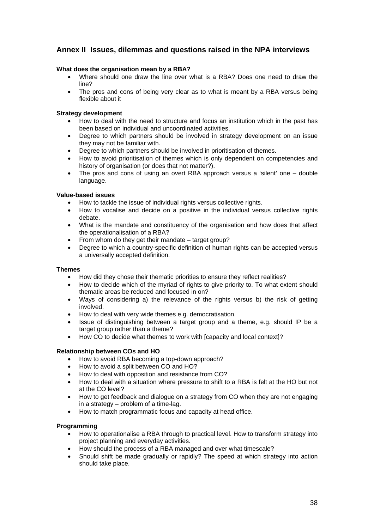# **Annex II Issues, dilemmas and questions raised in the NPA interviews**

## **What does the organisation mean by a RBA?**

- Where should one draw the line over what is a RBA? Does one need to draw the line?
- The pros and cons of being very clear as to what is meant by a RBA versus being flexible about it

## **Strategy development**

- How to deal with the need to structure and focus an institution which in the past has been based on individual and uncoordinated activities.
- Degree to which partners should be involved in strategy development on an issue they may not be familiar with.
- Degree to which partners should be involved in prioritisation of themes.
- How to avoid prioritisation of themes which is only dependent on competencies and history of organisation (or does that not matter?).
- The pros and cons of using an overt RBA approach versus a 'silent' one double language.

## **Value-based issues**

- How to tackle the issue of individual rights versus collective rights.
- How to vocalise and decide on a positive in the individual versus collective rights debate.
- What is the mandate and constituency of the organisation and how does that affect the operationalisation of a RBA?
- From whom do they get their mandate target group?
- Degree to which a country-specific definition of human rights can be accepted versus a universally accepted definition.

### **Themes**

- How did they chose their thematic priorities to ensure they reflect realities?
- How to decide which of the myriad of rights to give priority to. To what extent should thematic areas be reduced and focused in on?
- Ways of considering a) the relevance of the rights versus b) the risk of getting involved.
- How to deal with very wide themes e.g. democratisation.
- Issue of distinguishing between a target group and a theme, e.g. should IP be a target group rather than a theme?
- How CO to decide what themes to work with [capacity and local context]?

## **Relationship between COs and HO**

- How to avoid RBA becoming a top-down approach?
- How to avoid a split between CO and HO?
- How to deal with opposition and resistance from CO?
- How to deal with a situation where pressure to shift to a RBA is felt at the HO but not at the CO level?
- How to get feedback and dialogue on a strategy from CO when they are not engaging in a strategy – problem of a time-lag.
- How to match programmatic focus and capacity at head office.

## **Programming**

- How to operationalise a RBA through to practical level. How to transform strategy into project planning and everyday activities.
- How should the process of a RBA managed and over what timescale?
- Should shift be made gradually or rapidly? The speed at which strategy into action should take place.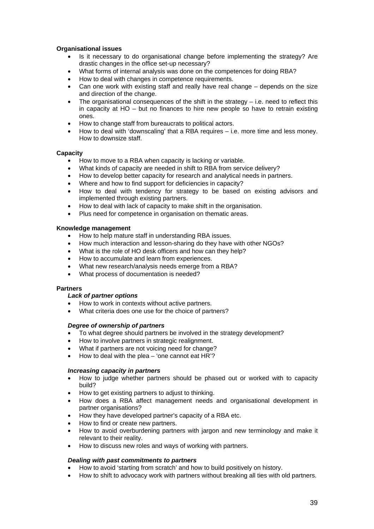## **Organisational issues**

- Is it necessary to do organisational change before implementing the strategy? Are drastic changes in the office set-up necessary?
- What forms of internal analysis was done on the competences for doing RBA?
- How to deal with changes in competence requirements.
- Can one work with existing staff and really have real change depends on the size and direction of the change.
- The organisational consequences of the shift in the strategy  $-$  i.e. need to reflect this in capacity at  $HO - but$  no finances to hire new people so have to retrain existing ones.
- How to change staff from bureaucrats to political actors.
- How to deal with 'downscaling' that a RBA requires i.e. more time and less money. How to downsize staff.

### **Capacity**

- How to move to a RBA when capacity is lacking or variable.
- What kinds of capacity are needed in shift to RBA from service delivery?
- How to develop better capacity for research and analytical needs in partners.
- Where and how to find support for deficiencies in capacity?
- How to deal with tendency for strategy to be based on existing advisors and implemented through existing partners.
- How to deal with lack of capacity to make shift in the organisation.
- Plus need for competence in organisation on thematic areas.

## **Knowledge management**

- How to help mature staff in understanding RBA issues.
- How much interaction and lesson-sharing do they have with other NGOs?
- What is the role of HO desk officers and how can they help?
- How to accumulate and learn from experiences.
- What new research/analysis needs emerge from a RBA?
- What process of documentation is needed?

## **Partners**

### *Lack of partner options*

- How to work in contexts without active partners.
- What criteria does one use for the choice of partners?

### *Degree of ownership of partners*

- To what degree should partners be involved in the strategy development?
- How to involve partners in strategic realignment.
- What if partners are not voicing need for change?
- How to deal with the plea 'one cannot eat  $HR$ '?

## *Increasing capacity in partners*

- How to judge whether partners should be phased out or worked with to capacity build?
- How to get existing partners to adjust to thinking.
- How does a RBA affect management needs and organisational development in partner organisations?
- How they have developed partner's capacity of a RBA etc.
- How to find or create new partners.
- How to avoid overburdening partners with jargon and new terminology and make it relevant to their reality.
- How to discuss new roles and ways of working with partners.

### *Dealing with past commitments to partners*

- How to avoid 'starting from scratch' and how to build positively on history.
- How to shift to advocacy work with partners without breaking all ties with old partners.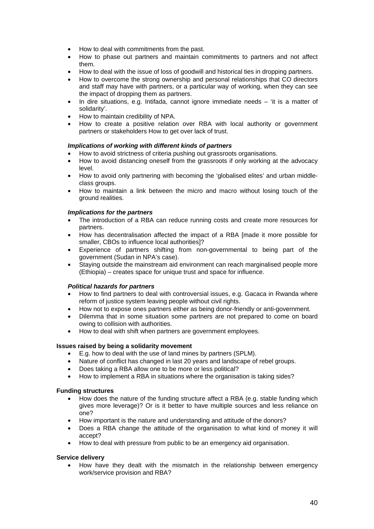- How to deal with commitments from the past.
- How to phase out partners and maintain commitments to partners and not affect them.
- How to deal with the issue of loss of goodwill and historical ties in dropping partners.
- How to overcome the strong ownership and personal relationships that CO directors and staff may have with partners, or a particular way of working, when they can see the impact of dropping them as partners.
- In dire situations, e.g. Intifada, cannot ignore immediate needs 'it is a matter of solidarity'.
- How to maintain credibility of NPA.
- How to create a positive relation over RBA with local authority or government partners or stakeholders How to get over lack of trust.

## *Implications of working with different kinds of partners*

- How to avoid strictness of criteria pushing out grassroots organisations.
- How to avoid distancing oneself from the grassroots if only working at the advocacy level.
- How to avoid only partnering with becoming the 'globalised elites' and urban middleclass groups.
- How to maintain a link between the micro and macro without losing touch of the ground realities.

### *Implications for the partners*

- The introduction of a RBA can reduce running costs and create more resources for partners.
- How has decentralisation affected the impact of a RBA [made it more possible for smaller, CBOs to influence local authorities]?
- Experience of partners shifting from non-governmental to being part of the government (Sudan in NPA's case).
- Staying outside the mainstream aid environment can reach marginalised people more (Ethiopia) – creates space for unique trust and space for influence.

### *Political hazards for partners*

- How to find partners to deal with controversial issues, e.g. Gacaca in Rwanda where reform of justice system leaving people without civil rights.
- How not to expose ones partners either as being donor-friendly or anti-government.
- Dilemma that in some situation some partners are not prepared to come on board owing to collision with authorities.
- How to deal with shift when partners are government employees.

### **Issues raised by being a solidarity movement**

- E.g. how to deal with the use of land mines by partners (SPLM).
- Nature of conflict has changed in last 20 years and landscape of rebel groups.
- Does taking a RBA allow one to be more or less political?
- How to implement a RBA in situations where the organisation is taking sides?

### **Funding structures**

- How does the nature of the funding structure affect a RBA (e.g. stable funding which gives more leverage)? Or is it better to have multiple sources and less reliance on one?
- How important is the nature and understanding and attitude of the donors?
- Does a RBA change the attitude of the organisation to what kind of money it will accept?
- How to deal with pressure from public to be an emergency aid organisation.

## **Service delivery**

• How have they dealt with the mismatch in the relationship between emergency work/service provision and RBA?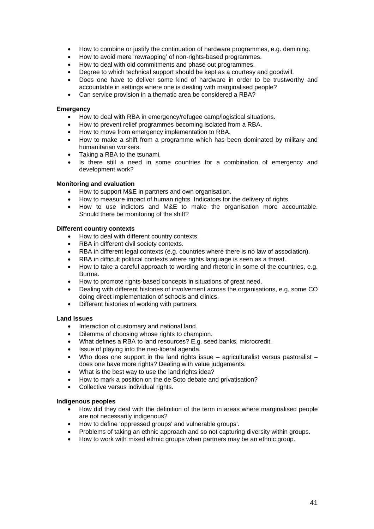- How to combine or justify the continuation of hardware programmes, e.g. demining.
- How to avoid mere 'rewrapping' of non-rights-based programmes.
- How to deal with old commitments and phase out programmes.
- Degree to which technical support should be kept as a courtesy and goodwill.
- Does one have to deliver some kind of hardware in order to be trustworthy and accountable in settings where one is dealing with marginalised people?
- Can service provision in a thematic area be considered a RBA?

### **Emergency**

- How to deal with RBA in emergency/refugee camp/logistical situations.
- How to prevent relief programmes becoming isolated from a RBA.
- How to move from emergency implementation to RBA.
- How to make a shift from a programme which has been dominated by military and humanitarian workers.
- Taking a RBA to the tsunami.
- Is there still a need in some countries for a combination of emergency and development work?

### **Monitoring and evaluation**

- How to support M&E in partners and own organisation.
- How to measure impact of human rights. Indicators for the delivery of rights.
- How to use indictors and M&E to make the organisation more accountable. Should there be monitoring of the shift?

### **Different country contexts**

- How to deal with different country contexts.
- RBA in different civil society contexts.
- RBA in different legal contexts (e.g. countries where there is no law of association).
- RBA in difficult political contexts where rights language is seen as a threat.
- How to take a careful approach to wording and rhetoric in some of the countries, e.g. Burma.
- How to promote rights-based concepts in situations of great need.
- Dealing with different histories of involvement across the organisations, e.g. some CO doing direct implementation of schools and clinics.
- Different histories of working with partners.

### **Land issues**

- Interaction of customary and national land.
- Dilemma of choosing whose rights to champion.
- What defines a RBA to land resources? E.g. seed banks, microcredit.
- Issue of playing into the neo-liberal agenda.
- Who does one support in the land rights issue agriculturalist versus pastoralist does one have more rights? Dealing with value judgements.
- What is the best way to use the land rights idea?
- How to mark a position on the de Soto debate and privatisation?
- Collective versus individual rights.

### **Indigenous peoples**

- How did they deal with the definition of the term in areas where marginalised people are not necessarily indigenous?
- How to define 'oppressed groups' and vulnerable groups'.
- Problems of taking an ethnic approach and so not capturing diversity within groups.
- How to work with mixed ethnic groups when partners may be an ethnic group.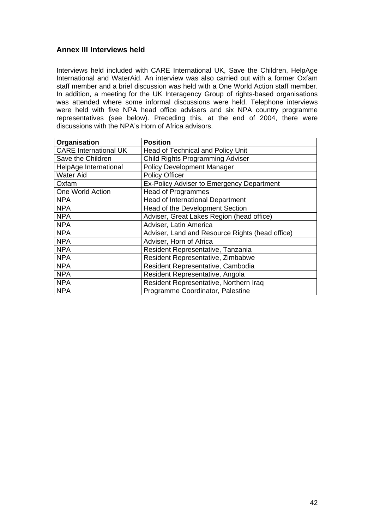# **Annex III Interviews held**

Interviews held included with CARE International UK, Save the Children, HelpAge International and WaterAid. An interview was also carried out with a former Oxfam staff member and a brief discussion was held with a One World Action staff member. In addition, a meeting for the UK Interagency Group of rights-based organisations was attended where some informal discussions were held. Telephone interviews were held with five NPA head office advisers and six NPA country programme representatives (see below). Preceding this, at the end of 2004, there were discussions with the NPA's Horn of Africa advisors.

| Organisation                 | <b>Position</b>                                 |
|------------------------------|-------------------------------------------------|
| <b>CARE International UK</b> | <b>Head of Technical and Policy Unit</b>        |
| Save the Children            | Child Rights Programming Adviser                |
| HelpAge International        | <b>Policy Development Manager</b>               |
| Water Aid                    | <b>Policy Officer</b>                           |
| Oxfam                        | Ex-Policy Adviser to Emergency Department       |
| One World Action             | <b>Head of Programmes</b>                       |
| <b>NPA</b>                   | <b>Head of International Department</b>         |
| <b>NPA</b>                   | Head of the Development Section                 |
| <b>NPA</b>                   | Adviser, Great Lakes Region (head office)       |
| <b>NPA</b>                   | Adviser, Latin America                          |
| <b>NPA</b>                   | Adviser, Land and Resource Rights (head office) |
| <b>NPA</b>                   | Adviser, Horn of Africa                         |
| <b>NPA</b>                   | Resident Representative, Tanzania               |
| <b>NPA</b>                   | Resident Representative, Zimbabwe               |
| <b>NPA</b>                   | Resident Representative, Cambodia               |
| <b>NPA</b>                   | Resident Representative, Angola                 |
| <b>NPA</b>                   | Resident Representative, Northern Iraq          |
| <b>NPA</b>                   | Programme Coordinator, Palestine                |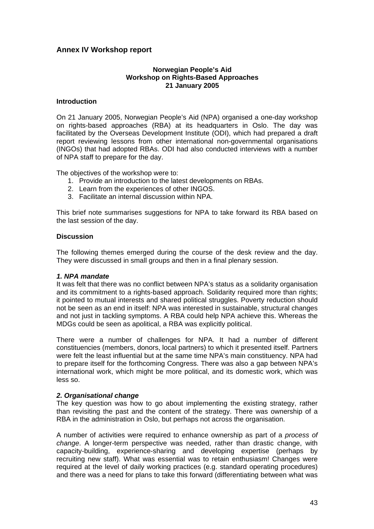# **Annex IV Workshop report**

# **Norwegian People's Aid Workshop on Rights-Based Approaches 21 January 2005**

## **Introduction**

On 21 January 2005, Norwegian People's Aid (NPA) organised a one-day workshop on rights-based approaches (RBA) at its headquarters in Oslo. The day was facilitated by the Overseas Development Institute (ODI), which had prepared a draft report reviewing lessons from other international non-governmental organisations (INGOs) that had adopted RBAs. ODI had also conducted interviews with a number of NPA staff to prepare for the day.

The objectives of the workshop were to:

- 1. Provide an introduction to the latest developments on RBAs.
- 2. Learn from the experiences of other INGOS.
- 3. Facilitate an internal discussion within NPA.

This brief note summarises suggestions for NPA to take forward its RBA based on the last session of the day.

## **Discussion**

The following themes emerged during the course of the desk review and the day. They were discussed in small groups and then in a final plenary session.

## *1. NPA mandate*

It was felt that there was no conflict between NPA's status as a solidarity organisation and its commitment to a rights-based approach. Solidarity required more than rights; it pointed to mutual interests and shared political struggles. Poverty reduction should not be seen as an end in itself: NPA was interested in sustainable, structural changes and not just in tackling symptoms. A RBA could help NPA achieve this. Whereas the MDGs could be seen as apolitical, a RBA was explicitly political.

There were a number of challenges for NPA. It had a number of different constituencies (members, donors, local partners) to which it presented itself. Partners were felt the least influential but at the same time NPA's main constituency. NPA had to prepare itself for the forthcoming Congress. There was also a gap between NPA's international work, which might be more political, and its domestic work, which was less so.

## *2. Organisational change*

The key question was how to go about implementing the existing strategy, rather than revisiting the past and the content of the strategy. There was ownership of a RBA in the administration in Oslo, but perhaps not across the organisation.

A number of activities were required to enhance ownership as part of a *process of change*. A longer-term perspective was needed, rather than drastic change, with capacity-building, experience-sharing and developing expertise (perhaps by recruiting new staff). What was essential was to retain enthusiasm! Changes were required at the level of daily working practices (e.g. standard operating procedures) and there was a need for plans to take this forward (differentiating between what was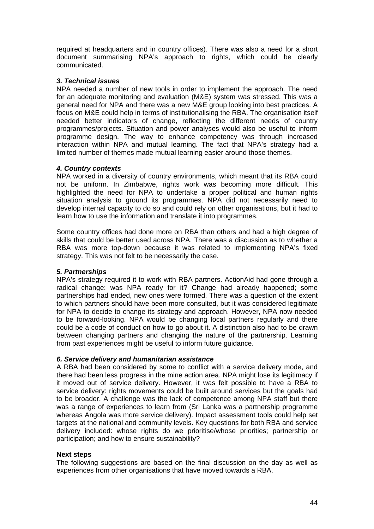required at headquarters and in country offices). There was also a need for a short document summarising NPA's approach to rights, which could be clearly communicated.

# *3. Technical issues*

NPA needed a number of new tools in order to implement the approach. The need for an adequate monitoring and evaluation (M&E) system was stressed. This was a general need for NPA and there was a new M&E group looking into best practices. A focus on M&E could help in terms of institutionalising the RBA. The organisation itself needed better indicators of change, reflecting the different needs of country programmes/projects. Situation and power analyses would also be useful to inform programme design. The way to enhance competency was through increased interaction within NPA and mutual learning. The fact that NPA's strategy had a limited number of themes made mutual learning easier around those themes.

# *4. Country contexts*

NPA worked in a diversity of country environments, which meant that its RBA could not be uniform. In Zimbabwe, rights work was becoming more difficult. This highlighted the need for NPA to undertake a proper political and human rights situation analysis to ground its programmes. NPA did not necessarily need to develop internal capacity to do so and could rely on other organisations, but it had to learn how to use the information and translate it into programmes.

Some country offices had done more on RBA than others and had a high degree of skills that could be better used across NPA. There was a discussion as to whether a RBA was more top-down because it was related to implementing NPA's fixed strategy. This was not felt to be necessarily the case.

# *5. Partnerships*

NPA's strategy required it to work with RBA partners. ActionAid had gone through a radical change: was NPA ready for it? Change had already happened; some partnerships had ended, new ones were formed. There was a question of the extent to which partners should have been more consulted, but it was considered legitimate for NPA to decide to change its strategy and approach. However, NPA now needed to be forward-looking. NPA would be changing local partners regularly and there could be a code of conduct on how to go about it. A distinction also had to be drawn between changing partners and changing the nature of the partnership. Learning from past experiences might be useful to inform future guidance.

# *6. Service delivery and humanitarian assistance*

A RBA had been considered by some to conflict with a service delivery mode, and there had been less progress in the mine action area. NPA might lose its legitimacy if it moved out of service delivery. However, it was felt possible to have a RBA to service delivery: rights movements could be built around services but the goals had to be broader. A challenge was the lack of competence among NPA staff but there was a range of experiences to learn from (Sri Lanka was a partnership programme whereas Angola was more service delivery). Impact assessment tools could help set targets at the national and community levels. Key questions for both RBA and service delivery included: whose rights do we prioritise/whose priorities; partnership or participation; and how to ensure sustainability?

# **Next steps**

The following suggestions are based on the final discussion on the day as well as experiences from other organisations that have moved towards a RBA.